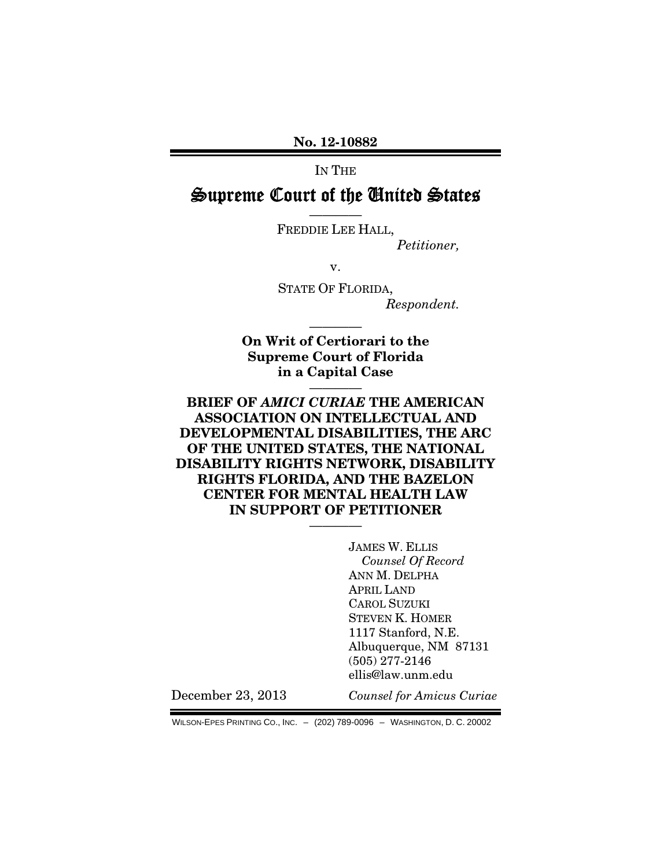No. 12-10882

IN THE

# Supreme Court of the United States

———— FREDDIE LEE HALL,

*Petitioner,* 

v.

STATE OF FLORIDA, *Respondent.* 

On Writ of Certiorari to the Supreme Court of Florida in a Capital Case

————

————

### BRIEF OF *AMICI CURIAE* THE AMERICAN ASSOCIATION ON INTELLECTUAL AND DEVELOPMENTAL DISABILITIES, THE ARC OF THE UNITED STATES, THE NATIONAL DISABILITY RIGHTS NETWORK, DISABILITY RIGHTS FLORIDA, AND THE BAZELON CENTER FOR MENTAL HEALTH LAW IN SUPPORT OF PETITIONER

————

JAMES W. ELLIS *Counsel Of Record*  ANN M. DELPHA APRIL LAND CAROL SUZUKI STEVEN K. HOMER 1117 Stanford, N.E. Albuquerque, NM 87131 (505) 277-2146 ellis@law.unm.edu

December 23, 2013

*Counsel for Amicus Curiae*

WILSON-EPES PRINTING CO., INC. – (202) 789-0096 – WASHINGTON, D. C. 20002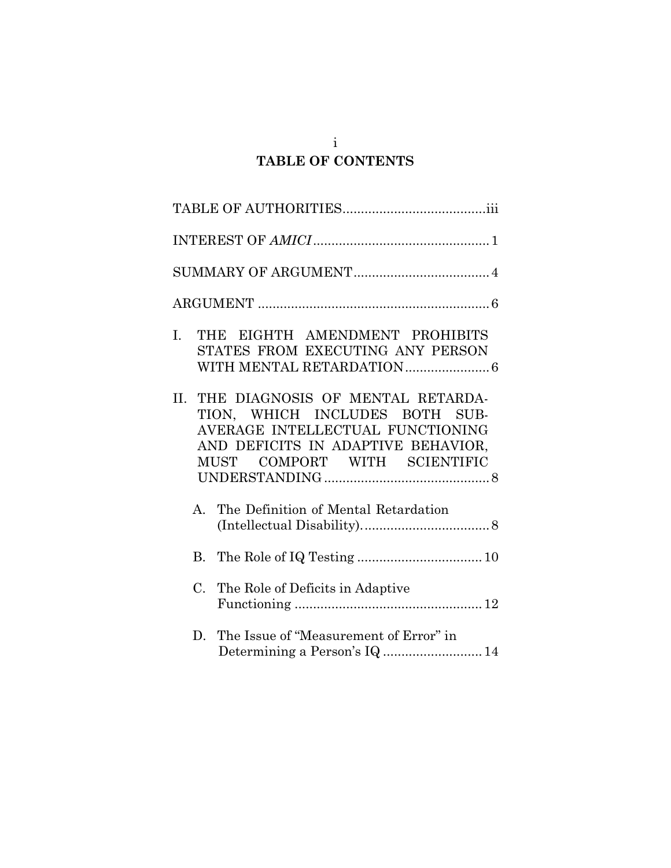# i **TABLE OF CONTENTS**

| $I_{\cdot}$ | THE EIGHTH AMENDMENT PROHIBITS<br>STATES FROM EXECUTING ANY PERSON                                                                                                                  |
|-------------|-------------------------------------------------------------------------------------------------------------------------------------------------------------------------------------|
|             | II. THE DIAGNOSIS OF MENTAL RETARDA-<br>TION, WHICH INCLUDES BOTH SUB-<br>AVERAGE INTELLECTUAL FUNCTIONING<br>AND DEFICITS IN ADAPTIVE BEHAVIOR,<br>COMPORT WITH SCIENTIFIC<br>MUST |
|             | A. The Definition of Mental Retardation                                                                                                                                             |
|             |                                                                                                                                                                                     |
| $C_{\cdot}$ | The Role of Deficits in Adaptive                                                                                                                                                    |
|             | D. The Issue of "Measurement of Error" in<br>Determining a Person's IQ  14                                                                                                          |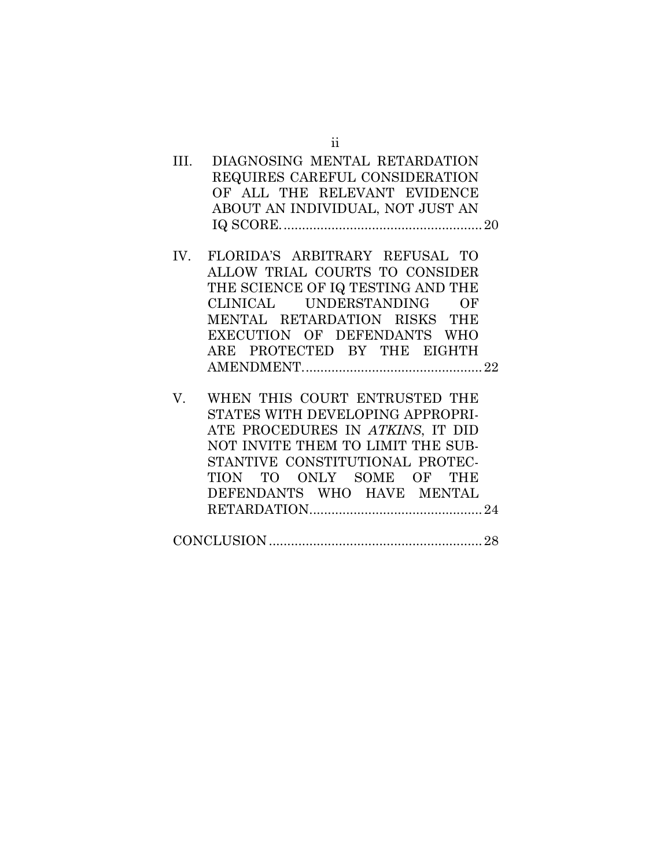| III. | DIAGNOSING MENTAL RETARDATION<br>REQUIRES CAREFUL CONSIDERATION<br>OF ALL THE RELEVANT EVIDENCE<br>ABOUT AN INDIVIDUAL, NOT JUST AN                                                                                                     |
|------|-----------------------------------------------------------------------------------------------------------------------------------------------------------------------------------------------------------------------------------------|
|      | IV. FLORIDA'S ARBITRARY REFUSAL TO<br>ALLOW TRIAL COURTS TO CONSIDER<br>THE SCIENCE OF IQ TESTING AND THE<br>CLINICAL UNDERSTANDING OF<br>MENTAL RETARDATION RISKS THE<br>EXECUTION OF DEFENDANTS WHO<br>ARE PROTECTED BY THE EIGHTH    |
| V.   | WHEN THIS COURT ENTRUSTED THE<br>STATES WITH DEVELOPING APPROPRI-<br>ATE PROCEDURES IN ATKINS, IT DID<br>NOT INVITE THEM TO LIMIT THE SUB-<br>STANTIVE CONSTITUTIONAL PROTEC-<br>TION TO ONLY SOME OF THE<br>DEFENDANTS WHO HAVE MENTAL |
|      |                                                                                                                                                                                                                                         |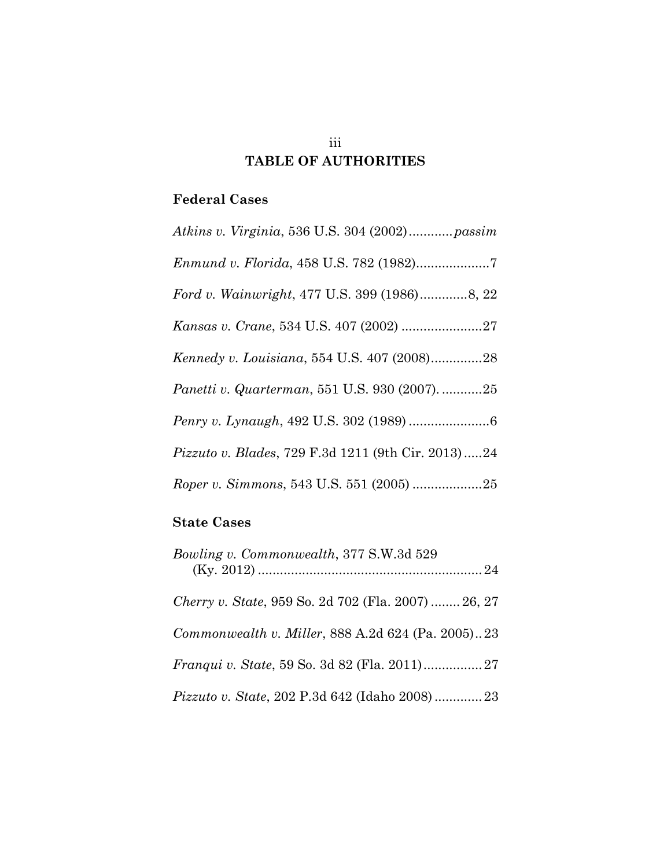# iii **TABLE OF AUTHORITIES**

## **Federal Cases**

| Atkins v. Virginia, 536 U.S. 304 (2002) passim             |
|------------------------------------------------------------|
|                                                            |
| Ford v. Wainwright, 477 U.S. 399 (1986)8, 22               |
|                                                            |
| Kennedy v. Louisiana, 554 U.S. 407 (2008)28                |
| Panetti v. Quarterman, 551 U.S. 930 (2007). 25             |
|                                                            |
| <i>Pizzuto v. Blades, 729 F.3d 1211 (9th Cir. 2013) 24</i> |
| Roper v. Simmons, 543 U.S. 551 (2005) 25                   |

# **State Cases**

| Bowling v. Commonwealth, 377 S.W.3d 529                    |
|------------------------------------------------------------|
| <i>Cherry v. State, 959 So. 2d 702 (Fla. 2007)  26, 27</i> |
| Commonwealth v. Miller, 888 A.2d 624 (Pa. 2005)23          |
|                                                            |
| Pizzuto v. State, 202 P.3d 642 (Idaho 2008)23              |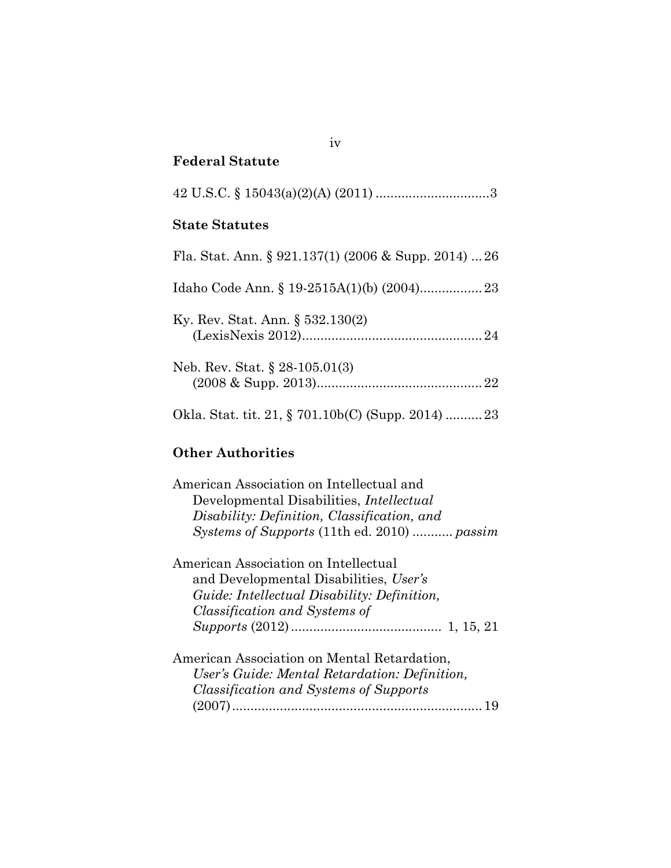### **Federal Statute**

|--|--|

### **State Statutes**

| Fla. Stat. Ann. § 921.137(1) (2006 & Supp. 2014)  26 |  |
|------------------------------------------------------|--|
|                                                      |  |
| Ky. Rev. Stat. Ann. $\S 532.130(2)$                  |  |
| Neb. Rev. Stat. $\S 28-105.01(3)$                    |  |

Okla. Stat. tit. 21, § 701.10b(C) (Supp. 2014) ..........23

# **Other Authorities**

| American Association on Intellectual and           |
|----------------------------------------------------|
| Developmental Disabilities, <i>Intellectual</i>    |
| Disability: Definition, Classification, and        |
| Systems of Supports (11th ed. 2010)  passim        |
| American Association on Intellectual               |
| and Developmental Disabilities, User's             |
| <i>Guide: Intellectual Disability: Definition,</i> |
| Classification and Systems of                      |
|                                                    |
| American Association on Mental Retardation,        |
| User's Guide: Mental Retardation: Definition,      |
| <i>Classification and Systems of Supports</i>      |
| 19                                                 |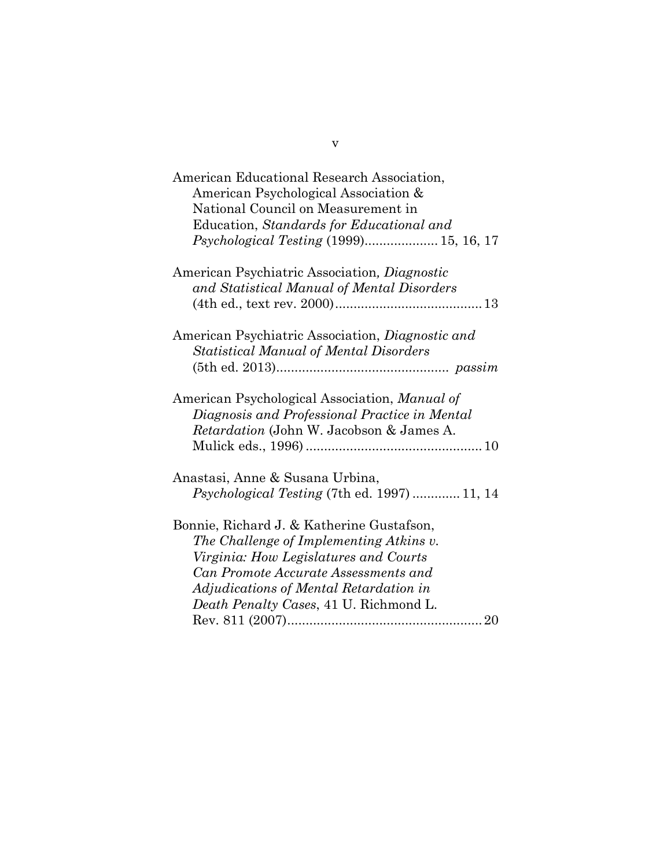| American Educational Research Association,          |
|-----------------------------------------------------|
| American Psychological Association &                |
| National Council on Measurement in                  |
| Education, Standards for Educational and            |
| <i>Psychological Testing</i> (1999) 15, 16, 17      |
| American Psychiatric Association, Diagnostic        |
| and Statistical Manual of Mental Disorders          |
|                                                     |
|                                                     |
| American Psychiatric Association, Diagnostic and    |
| <b>Statistical Manual of Mental Disorders</b>       |
|                                                     |
|                                                     |
| American Psychological Association, Manual of       |
| Diagnosis and Professional Practice in Mental       |
| <i>Retardation</i> (John W. Jacobson & James A.     |
|                                                     |
|                                                     |
| Anastasi, Anne & Susana Urbina,                     |
| <i>Psychological Testing</i> (7th ed. 1997)  11, 14 |
|                                                     |
| Bonnie, Richard J. & Katherine Gustafson,           |
| The Challenge of Implementing Atkins v.             |
| Virginia: How Legislatures and Courts               |
| Can Promote Accurate Assessments and                |
| Adjudications of Mental Retardation in              |
| Death Penalty Cases, 41 U. Richmond L.              |
|                                                     |
|                                                     |

v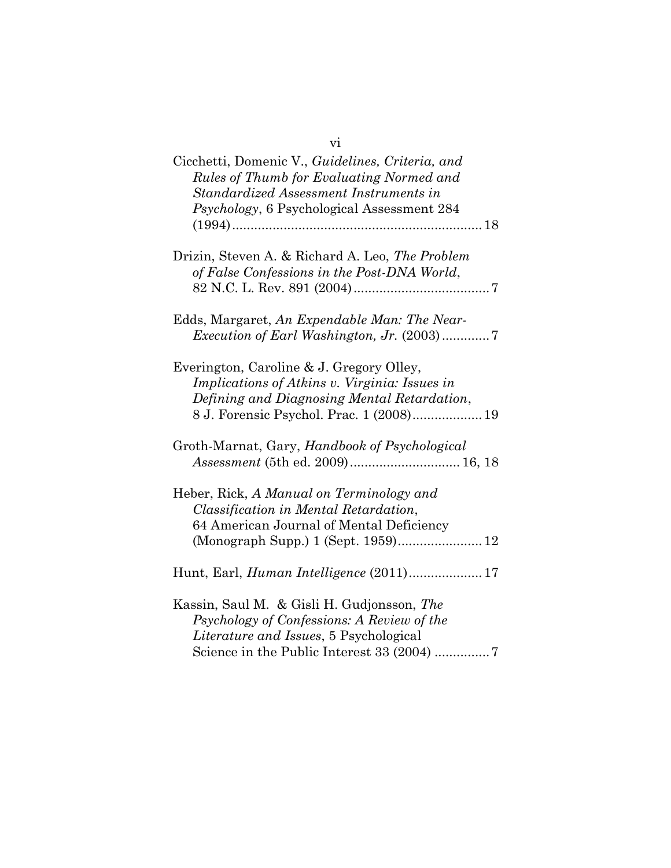| Cicchetti, Domenic V., Guidelines, Criteria, and<br>Rules of Thumb for Evaluating Normed and<br>Standardized Assessment Instruments in<br>Psychology, 6 Psychological Assessment 284        |
|---------------------------------------------------------------------------------------------------------------------------------------------------------------------------------------------|
| Drizin, Steven A. & Richard A. Leo, The Problem<br>of False Confessions in the Post-DNA World,                                                                                              |
| Edds, Margaret, An Expendable Man: The Near-<br><i>Execution of Earl Washington, Jr.</i> (2003)7                                                                                            |
| Everington, Caroline & J. Gregory Olley,<br><i>Implications of Atkins v. Virginia: Issues in</i><br>Defining and Diagnosing Mental Retardation,<br>8 J. Forensic Psychol. Prac. 1 (2008) 19 |
| Groth-Marnat, Gary, Handbook of Psychological<br>Assessment (5th ed. 2009) 16, 18                                                                                                           |
| Heber, Rick, A Manual on Terminology and<br>Classification in Mental Retardation,<br>64 American Journal of Mental Deficiency<br>(Monograph Supp.) 1 (Sept. 1959) 12                        |
| Hunt, Earl, <i>Human Intelligence</i> (2011) 17                                                                                                                                             |
| Kassin, Saul M. & Gisli H. Gudjonsson, The<br>Psychology of Confessions: A Review of the<br><i>Literature and Issues</i> , 5 Psychological<br>Science in the Public Interest 33 (2004) 7    |

vi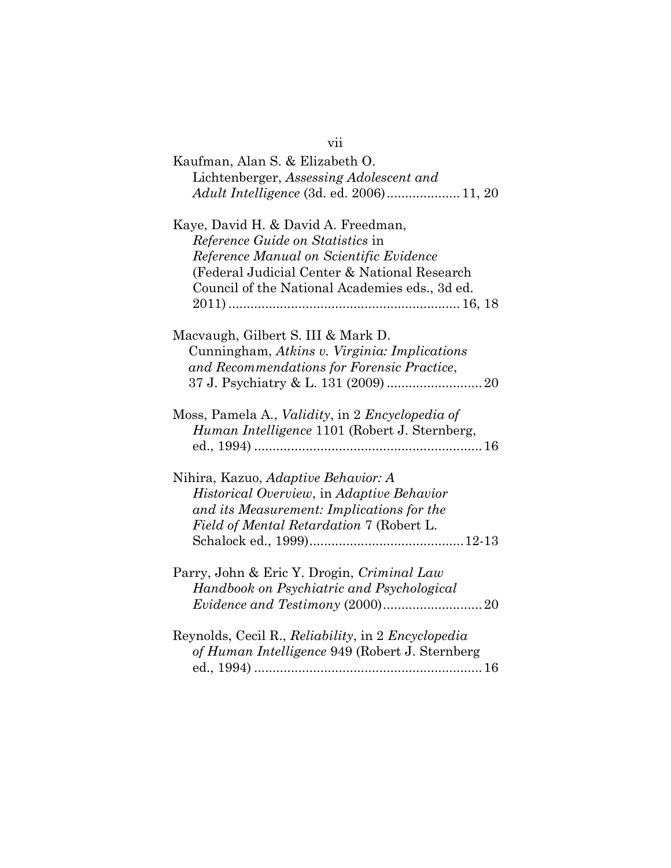| vii                                                                                                             |
|-----------------------------------------------------------------------------------------------------------------|
| Kaufman, Alan S. & Elizabeth O.                                                                                 |
| Lichtenberger, Assessing Adolescent and                                                                         |
| <i>Adult Intelligence</i> (3d. ed. 2006) 11, 20                                                                 |
| Kaye, David H. & David A. Freedman,                                                                             |
| <i>Reference Guide on Statistics</i> in                                                                         |
| Reference Manual on Scientific Evidence                                                                         |
| (Federal Judicial Center & National Research                                                                    |
| Council of the National Academies eds., 3d ed.                                                                  |
|                                                                                                                 |
| Macvaugh, Gilbert S. III & Mark D.                                                                              |
| Cunningham, Atkins v. Virginia: Implications                                                                    |
| and Recommendations for Forensic Practice,                                                                      |
|                                                                                                                 |
| Moss, Pamela A., <i>Validity</i> , in 2 <i>Encyclopedia of</i><br>Human Intelligence 1101 (Robert J. Sternberg, |
| Nihira, Kazuo, Adaptive Behavior: A                                                                             |
| Historical Overview, in Adaptive Behavior                                                                       |
| and its Measurement: Implications for the                                                                       |
| Field of Mental Retardation 7 (Robert L.                                                                        |
|                                                                                                                 |
| Parry, John & Eric Y. Drogin, Criminal Law                                                                      |
| Handbook on Psychiatric and Psychological                                                                       |
|                                                                                                                 |
| Reynolds, Cecil R., Reliability, in 2 Encyclopedia                                                              |
| of Human Intelligence 949 (Robert J. Sternberg                                                                  |
|                                                                                                                 |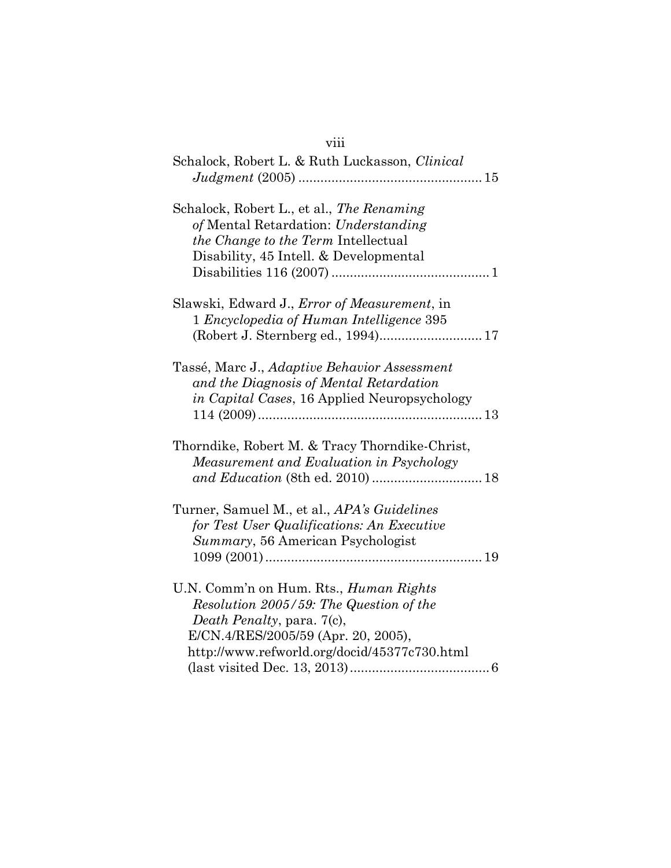# viii

| Schalock, Robert L. & Ruth Luckasson, Clinical                                                                                                                                                                |
|---------------------------------------------------------------------------------------------------------------------------------------------------------------------------------------------------------------|
| Schalock, Robert L., et al., The Renaming<br>of Mental Retardation: Understanding<br><i>the Change to the Term Intellectual</i><br>Disability, 45 Intell. & Developmental                                     |
| Slawski, Edward J., <i>Error of Measurement</i> , in<br>1 Encyclopedia of Human Intelligence 395                                                                                                              |
| Tassé, Marc J., Adaptive Behavior Assessment<br>and the Diagnosis of Mental Retardation<br><i>in Capital Cases</i> , 16 Applied Neuropsychology                                                               |
| Thorndike, Robert M. & Tracy Thorndike-Christ,<br>Measurement and Evaluation in Psychology                                                                                                                    |
| Turner, Samuel M., et al., APA's Guidelines<br>for Test User Qualifications: An Executive<br>Summary, 56 American Psychologist                                                                                |
| U.N. Comm'n on Hum. Rts., <i>Human Rights</i><br>Resolution 2005/59: The Question of the<br>Death Penalty, para. 7(c),<br>E/CN.4/RES/2005/59 (Apr. 20, 2005),<br>http://www.refworld.org/docid/45377c730.html |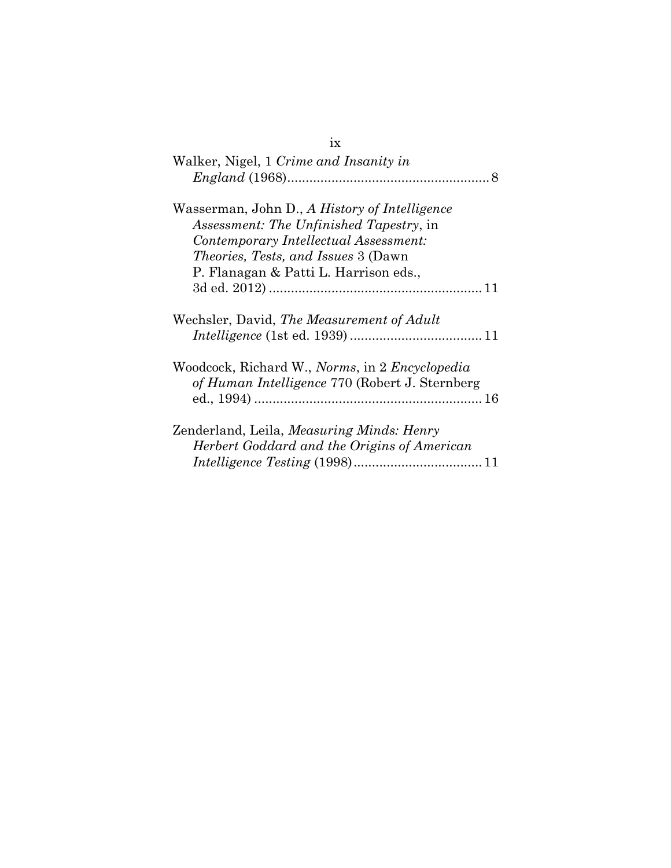| 1X                                                                                                              |
|-----------------------------------------------------------------------------------------------------------------|
| Walker, Nigel, 1 Crime and Insanity in                                                                          |
|                                                                                                                 |
| Wasserman, John D., A History of Intelligence                                                                   |
| <i>Assessment: The Unfinished Tapestry, in</i>                                                                  |
| Contemporary Intellectual Assessment:                                                                           |
| <i>Theories, Tests, and Issues</i> 3 (Dawn)                                                                     |
| P. Flanagan & Patti L. Harrison eds.,                                                                           |
|                                                                                                                 |
| Wechsler, David, The Measurement of Adult                                                                       |
| Woodcock, Richard W., <i>Norms</i> , in 2 <i>Encyclopedia</i><br>of Human Intelligence 770 (Robert J. Sternberg |
| Zenderland, Leila, <i>Measuring Minds: Henry</i><br>Herbert Goddard and the Origins of American                 |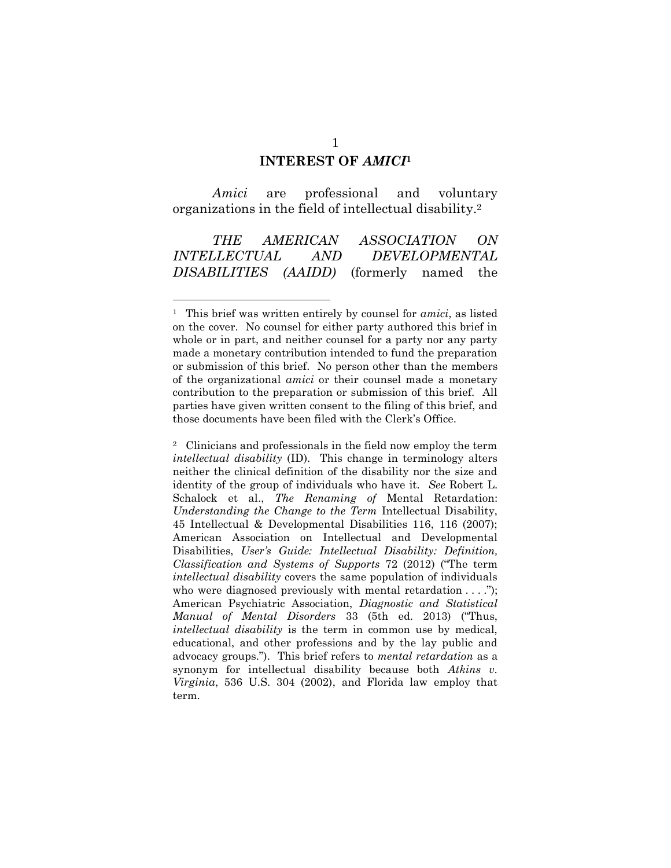#### **INTEREST OF** *AMICI***<sup>1</sup>**

*Amici* are professional and voluntary organizations in the field of intellectual disability. 2

*THE AMERICAN ASSOCIATION ON INTELLECTUAL AND DEVELOPMENTAL DISABILITIES (AAIDD)* (formerly named the

<sup>1</sup> This brief was written entirely by counsel for *amici*, as listed on the cover. No counsel for either party authored this brief in whole or in part, and neither counsel for a party nor any party made a monetary contribution intended to fund the preparation or submission of this brief. No person other than the members of the organizational *amici* or their counsel made a monetary contribution to the preparation or submission of this brief. All parties have given written consent to the filing of this brief, and those documents have been filed with the Clerk's Office.

<sup>2</sup> Clinicians and professionals in the field now employ the term *intellectual disability* (ID). This change in terminology alters neither the clinical definition of the disability nor the size and identity of the group of individuals who have it. *See* Robert L. Schalock et al., *The Renaming of* Mental Retardation: *Understanding the Change to the Term* Intellectual Disability, 45 Intellectual & Developmental Disabilities 116, 116 (2007); American Association on Intellectual and Developmental Disabilities, *User's Guide: Intellectual Disability: Definition, Classification and Systems of Supports* 72 (2012) ("The term *intellectual disability* covers the same population of individuals who were diagnosed previously with mental retardation . . . ."); American Psychiatric Association, *Diagnostic and Statistical Manual of Mental Disorders* 33 (5th ed. 2013) ("Thus, *intellectual disability* is the term in common use by medical, educational, and other professions and by the lay public and advocacy groups."). This brief refers to *mental retardation* as a synonym for intellectual disability because both *Atkins v. Virginia*, 536 U.S. 304 (2002), and Florida law employ that term.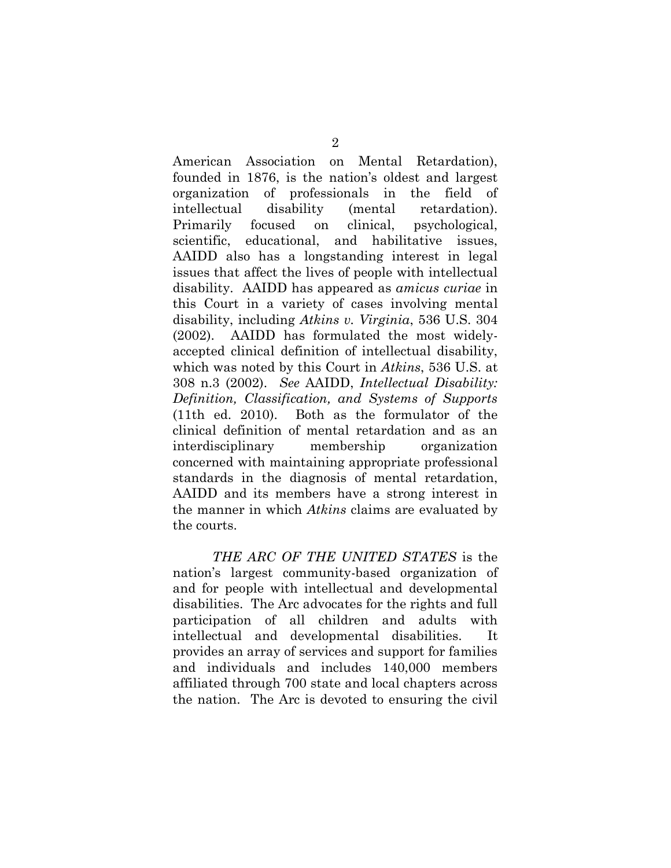American Association on Mental Retardation), founded in 1876, is the nation's oldest and largest organization of professionals in the field of intellectual disability (mental retardation). Primarily focused on clinical, psychological, scientific, educational, and habilitative issues, AAIDD also has a longstanding interest in legal issues that affect the lives of people with intellectual disability. AAIDD has appeared as *amicus curiae* in this Court in a variety of cases involving mental disability, including *Atkins v. Virginia*, 536 U.S. 304 (2002). AAIDD has formulated the most widelyaccepted clinical definition of intellectual disability, which was noted by this Court in *Atkins*, 536 U.S. at 308 n.3 (2002). *See* AAIDD, *Intellectual Disability: Definition, Classification, and Systems of Supports* (11th ed. 2010). Both as the formulator of the clinical definition of mental retardation and as an interdisciplinary membership organization concerned with maintaining appropriate professional standards in the diagnosis of mental retardation, AAIDD and its members have a strong interest in the manner in which *Atkins* claims are evaluated by the courts.

*THE ARC OF THE UNITED STATES* is the nation's largest community-based organization of and for people with intellectual and developmental disabilities. The Arc advocates for the rights and full participation of all children and adults with intellectual and developmental disabilities. It provides an array of services and support for families and individuals and includes 140,000 members affiliated through 700 state and local chapters across the nation. The Arc is devoted to ensuring the civil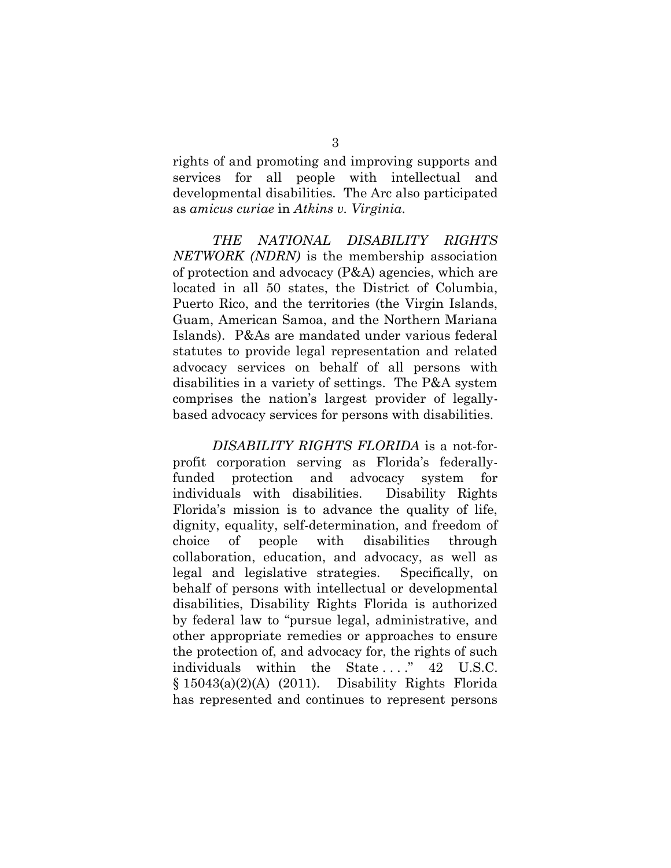rights of and promoting and improving supports and services for all people with intellectual and developmental disabilities. The Arc also participated as *amicus curiae* in *Atkins v. Virginia*.

*THE NATIONAL DISABILITY RIGHTS NETWORK (NDRN)* is the membership association of protection and advocacy (P&A) agencies, which are located in all 50 states, the District of Columbia, Puerto Rico, and the territories (the Virgin Islands, Guam, American Samoa, and the Northern Mariana Islands). P&As are mandated under various federal statutes to provide legal representation and related advocacy services on behalf of all persons with disabilities in a variety of settings. The P&A system comprises the nation's largest provider of legallybased advocacy services for persons with disabilities.

*DISABILITY RIGHTS FLORIDA* is a not-forprofit corporation serving as Florida's federallyfunded protection and advocacy system for individuals with disabilities. Disability Rights Florida's mission is to advance the quality of life, dignity, equality, self-determination, and freedom of choice of people with disabilities through collaboration, education, and advocacy, as well as legal and legislative strategies. Specifically, on behalf of persons with intellectual or developmental disabilities, Disability Rights Florida is authorized by federal law to "pursue legal, administrative, and other appropriate remedies or approaches to ensure the protection of, and advocacy for, the rights of such individuals within the State ...." 42 U.S.C. § 15043(a)(2)(A) (2011). Disability Rights Florida has represented and continues to represent persons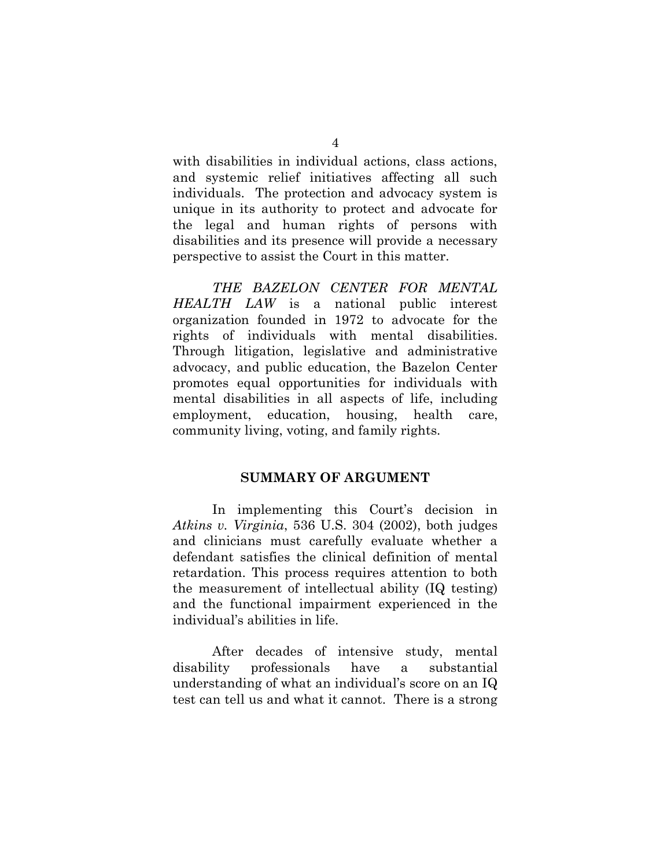with disabilities in individual actions, class actions, and systemic relief initiatives affecting all such individuals. The protection and advocacy system is unique in its authority to protect and advocate for the legal and human rights of persons with disabilities and its presence will provide a necessary perspective to assist the Court in this matter.

*THE BAZELON CENTER FOR MENTAL HEALTH LAW* is a national public interest organization founded in 1972 to advocate for the rights of individuals with mental disabilities. Through litigation, legislative and administrative advocacy, and public education, the Bazelon Center promotes equal opportunities for individuals with mental disabilities in all aspects of life, including employment, education, housing, health care, community living, voting, and family rights.

#### **SUMMARY OF ARGUMENT**

In implementing this Court's decision in *Atkins v. Virginia*, 536 U.S. 304 (2002), both judges and clinicians must carefully evaluate whether a defendant satisfies the clinical definition of mental retardation. This process requires attention to both the measurement of intellectual ability (IQ testing) and the functional impairment experienced in the individual's abilities in life.

After decades of intensive study, mental disability professionals have a substantial understanding of what an individual's score on an IQ test can tell us and what it cannot. There is a strong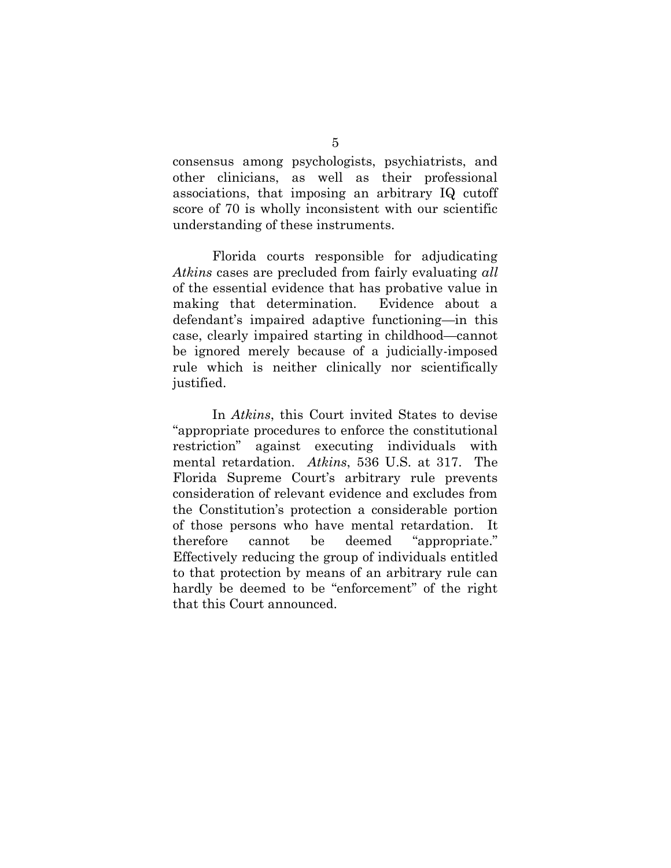consensus among psychologists, psychiatrists, and other clinicians, as well as their professional associations, that imposing an arbitrary IQ cutoff score of 70 is wholly inconsistent with our scientific understanding of these instruments.

Florida courts responsible for adjudicating *Atkins* cases are precluded from fairly evaluating *all* of the essential evidence that has probative value in making that determination. Evidence about a defendant's impaired adaptive functioning—in this case, clearly impaired starting in childhood—cannot be ignored merely because of a judicially-imposed rule which is neither clinically nor scientifically justified.

In *Atkins*, this Court invited States to devise "appropriate procedures to enforce the constitutional restriction" against executing individuals with mental retardation. *Atkins*, 536 U.S. at 317. The Florida Supreme Court's arbitrary rule prevents consideration of relevant evidence and excludes from the Constitution's protection a considerable portion of those persons who have mental retardation. It therefore cannot be deemed "appropriate." Effectively reducing the group of individuals entitled to that protection by means of an arbitrary rule can hardly be deemed to be "enforcement" of the right that this Court announced.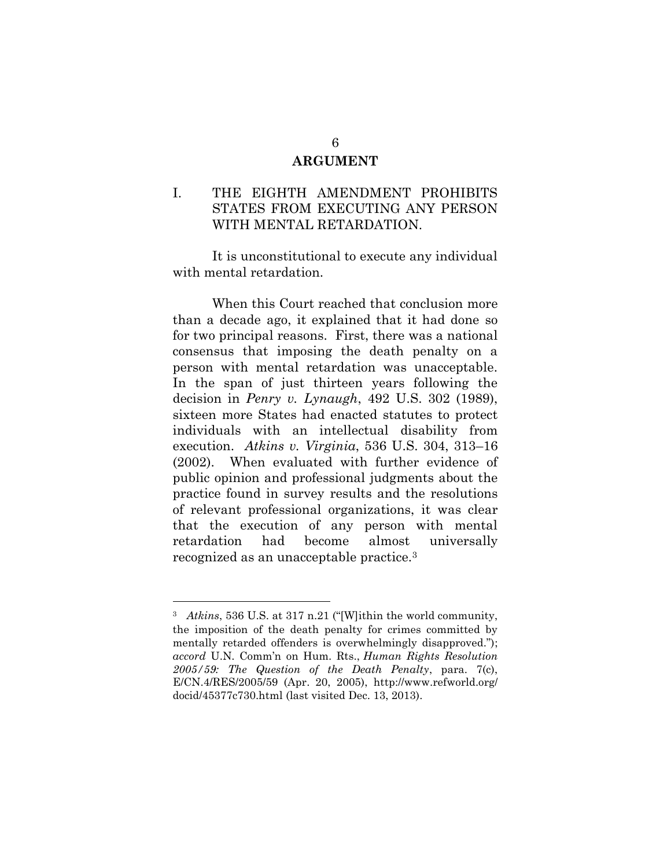#### **ARGUMENT**

### I. THE EIGHTH AMENDMENT PROHIBITS STATES FROM EXECUTING ANY PERSON WITH MENTAL RETARDATION.

It is unconstitutional to execute any individual with mental retardation.

When this Court reached that conclusion more than a decade ago, it explained that it had done so for two principal reasons. First, there was a national consensus that imposing the death penalty on a person with mental retardation was unacceptable. In the span of just thirteen years following the decision in *Penry v. Lynaugh*, 492 U.S. 302 (1989), sixteen more States had enacted statutes to protect individuals with an intellectual disability from execution. *Atkins v. Virginia*, 536 U.S. 304, 313–16 (2002). When evaluated with further evidence of public opinion and professional judgments about the practice found in survey results and the resolutions of relevant professional organizations, it was clear that the execution of any person with mental retardation had become almost universally recognized as an unacceptable practice.<sup>3</sup>

<sup>3</sup> *Atkins*, 536 U.S. at 317 n.21 ("[W]ithin the world community, the imposition of the death penalty for crimes committed by mentally retarded offenders is overwhelmingly disapproved."); *accord* U.N. Comm'n on Hum. Rts., *Human Rights Resolution 2005/59: The Question of the Death Penalty*, para. 7(c), E/CN.4/RES/2005/59 (Apr. 20, 2005), http://www.refworld.org/ docid/45377c730.html (last visited Dec. 13, 2013).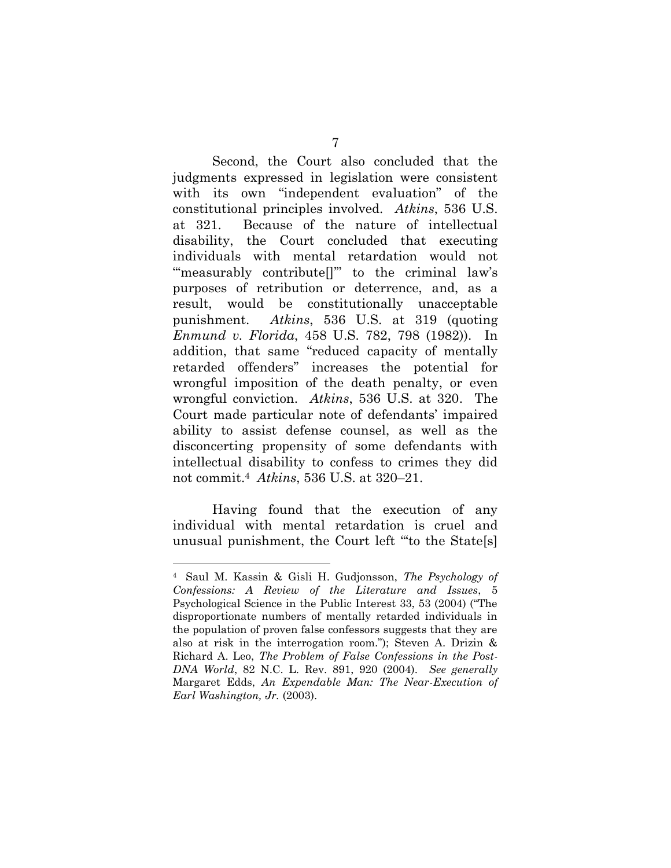Second, the Court also concluded that the judgments expressed in legislation were consistent with its own "independent evaluation" of the constitutional principles involved. *Atkins*, 536 U.S. at 321. Because of the nature of intellectual disability, the Court concluded that executing individuals with mental retardation would not "measurably contribute<sup>[]"</sup> to the criminal law's purposes of retribution or deterrence, and, as a result, would be constitutionally unacceptable punishment. *Atkins*, 536 U.S. at 319 (quoting *Enmund v. Florida*, 458 U.S. 782, 798 (1982)). In addition, that same "reduced capacity of mentally retarded offenders" increases the potential for wrongful imposition of the death penalty, or even wrongful conviction. *Atkins*, 536 U.S. at 320. The Court made particular note of defendants' impaired ability to assist defense counsel, as well as the disconcerting propensity of some defendants with intellectual disability to confess to crimes they did not commit.<sup>4</sup> *Atkins*, 536 U.S. at 320–21.

Having found that the execution of any individual with mental retardation is cruel and unusual punishment, the Court left "'to the State[s]

<sup>4</sup> Saul M. Kassin & Gisli H. Gudjonsson, *The Psychology of Confessions: A Review of the Literature and Issues*, 5 Psychological Science in the Public Interest 33, 53 (2004) ("The disproportionate numbers of mentally retarded individuals in the population of proven false confessors suggests that they are also at risk in the interrogation room."); Steven A. Drizin & Richard A. Leo, *The Problem of False Confessions in the Post-DNA World*, 82 N.C. L. Rev. 891, 920 (2004). *See generally* Margaret Edds, *An Expendable Man: The Near-Execution of Earl Washington, Jr.* (2003).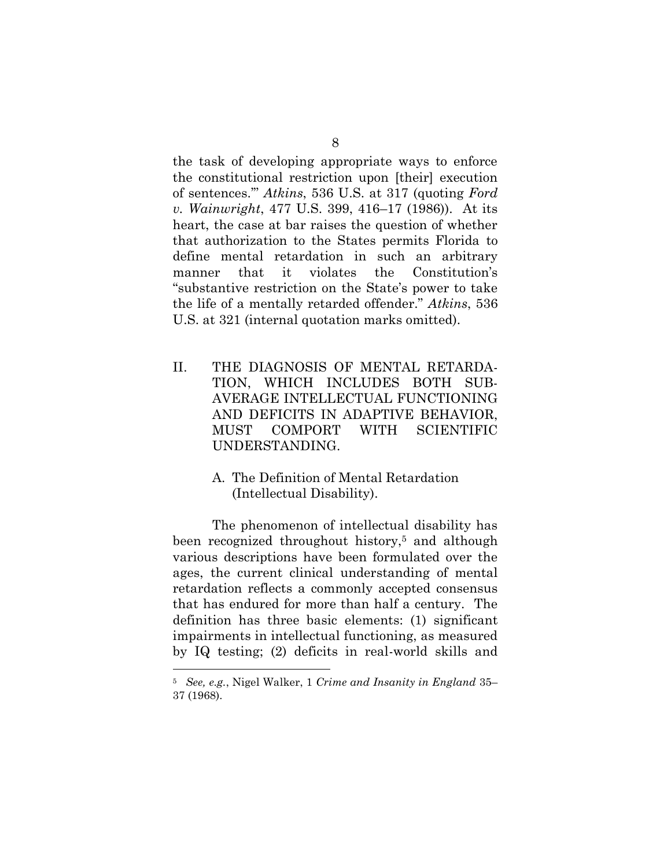the task of developing appropriate ways to enforce the constitutional restriction upon [their] execution of sentences.'" *Atkins*, 536 U.S. at 317 (quoting *Ford v. Wainwright*, 477 U.S. 399, 416–17 (1986)). At its heart, the case at bar raises the question of whether that authorization to the States permits Florida to define mental retardation in such an arbitrary manner that it violates the Constitution's "substantive restriction on the State's power to take the life of a mentally retarded offender." *Atkins*, 536 U.S. at 321 (internal quotation marks omitted).

- II. THE DIAGNOSIS OF MENTAL RETARDA-TION, WHICH INCLUDES BOTH SUB-AVERAGE INTELLECTUAL FUNCTIONING AND DEFICITS IN ADAPTIVE BEHAVIOR, MUST COMPORT WITH SCIENTIFIC UNDERSTANDING.
	- A. The Definition of Mental Retardation (Intellectual Disability).

The phenomenon of intellectual disability has been recognized throughout history, <sup>5</sup> and although various descriptions have been formulated over the ages, the current clinical understanding of mental retardation reflects a commonly accepted consensus that has endured for more than half a century. The definition has three basic elements: (1) significant impairments in intellectual functioning, as measured by IQ testing; (2) deficits in real-world skills and

<sup>5</sup> *See, e.g.*, Nigel Walker, 1 *Crime and Insanity in England* 35– 37 (1968).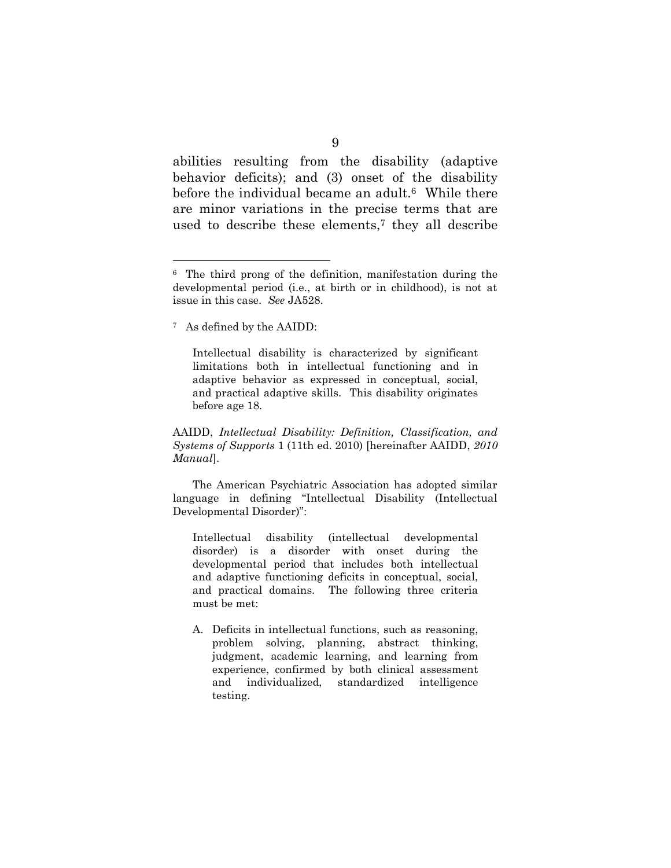abilities resulting from the disability (adaptive behavior deficits); and (3) onset of the disability before the individual became an adult.<sup>6</sup> While there are minor variations in the precise terms that are used to describe these elements,<sup>7</sup> they all describe

<sup>7</sup> As defined by the AAIDD:

 $\overline{a}$ 

Intellectual disability is characterized by significant limitations both in intellectual functioning and in adaptive behavior as expressed in conceptual, social, and practical adaptive skills. This disability originates before age 18.

AAIDD, *Intellectual Disability: Definition, Classification, and Systems of Supports* 1 (11th ed. 2010) [hereinafter AAIDD, *2010 Manual*].

The American Psychiatric Association has adopted similar language in defining "Intellectual Disability (Intellectual Developmental Disorder)":

Intellectual disability (intellectual developmental disorder) is a disorder with onset during the developmental period that includes both intellectual and adaptive functioning deficits in conceptual, social, and practical domains. The following three criteria must be met:

A. Deficits in intellectual functions, such as reasoning, problem solving, planning, abstract thinking, judgment, academic learning, and learning from experience, confirmed by both clinical assessment and individualized, standardized intelligence testing.

<sup>&</sup>lt;sup>6</sup> The third prong of the definition, manifestation during the developmental period (i.e., at birth or in childhood), is not at issue in this case. *See* JA528.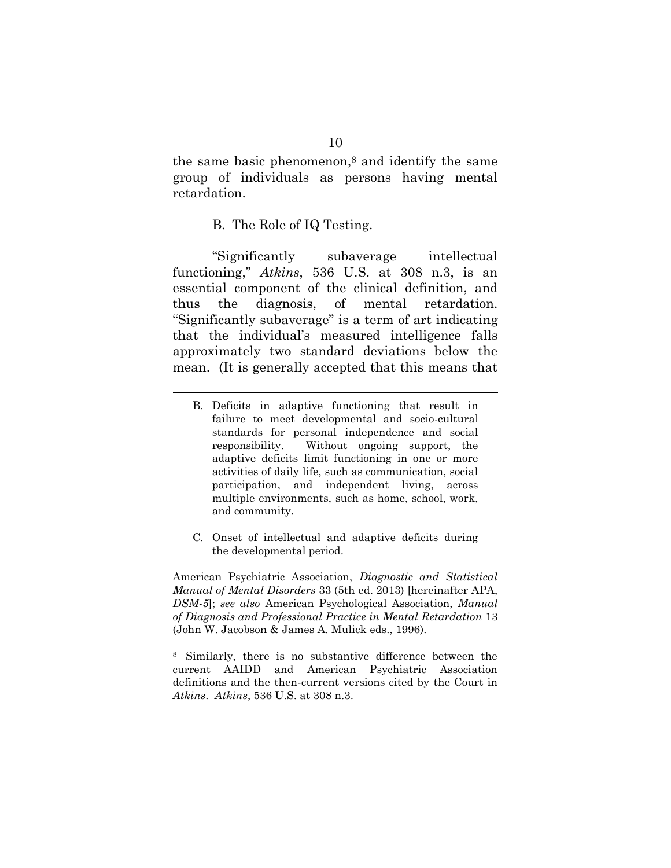the same basic phenomenon, $\delta$  and identify the same group of individuals as persons having mental retardation.

#### B. The Role of IQ Testing.

 $\overline{a}$ 

"Significantly subaverage intellectual functioning," *Atkins*, 536 U.S. at 308 n.3, is an essential component of the clinical definition, and thus the diagnosis, of mental retardation. "Significantly subaverage" is a term of art indicating that the individual's measured intelligence falls approximately two standard deviations below the mean. (It is generally accepted that this means that

- B. Deficits in adaptive functioning that result in failure to meet developmental and socio-cultural standards for personal independence and social responsibility. Without ongoing support, the adaptive deficits limit functioning in one or more activities of daily life, such as communication, social participation, and independent living, across multiple environments, such as home, school, work, and community.
- C. Onset of intellectual and adaptive deficits during the developmental period.

American Psychiatric Association, *Diagnostic and Statistical Manual of Mental Disorders* 33 (5th ed. 2013) [hereinafter APA, *DSM-5*]; *see also* American Psychological Association, *Manual of Diagnosis and Professional Practice in Mental Retardation* 13 (John W. Jacobson & James A. Mulick eds., 1996).

<sup>8</sup> Similarly, there is no substantive difference between the current AAIDD and American Psychiatric Association definitions and the then-current versions cited by the Court in *Atkins*. *Atkins*, 536 U.S. at 308 n.3.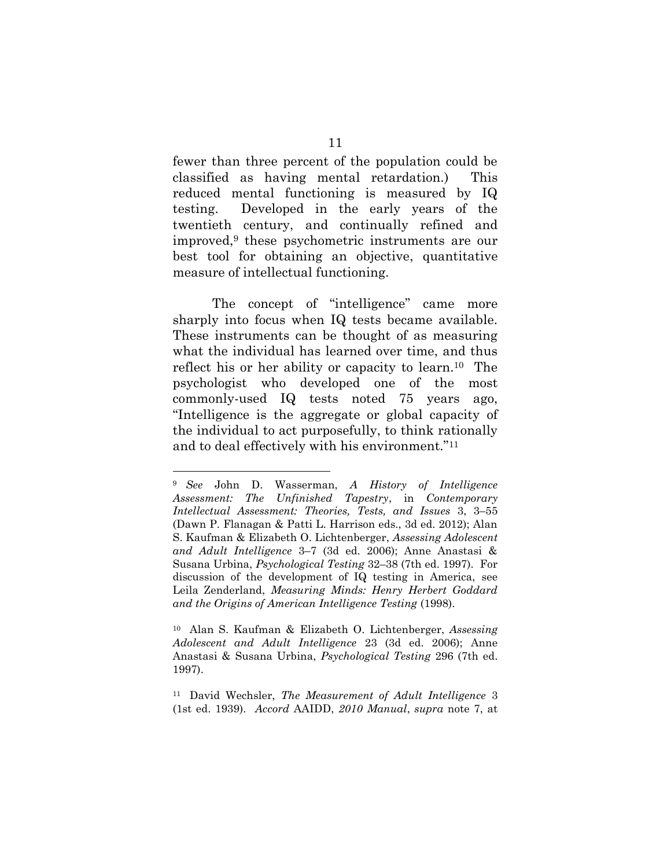fewer than three percent of the population could be classified as having mental retardation.) This reduced mental functioning is measured by IQ testing. Developed in the early years of the twentieth century, and continually refined and improved,<sup>9</sup> these psychometric instruments are our best tool for obtaining an objective, quantitative measure of intellectual functioning.

The concept of "intelligence" came more sharply into focus when IQ tests became available. These instruments can be thought of as measuring what the individual has learned over time, and thus reflect his or her ability or capacity to learn.10 The psychologist who developed one of the most commonly-used IQ tests noted 75 years ago, "Intelligence is the aggregate or global capacity of the individual to act purposefully, to think rationally and to deal effectively with his environment."<sup>11</sup>

<sup>9</sup> *See* John D. Wasserman, *A History of Intelligence Assessment: The Unfinished Tapestry*, in *Contemporary Intellectual Assessment: Theories, Tests, and Issues* 3, 3–55 (Dawn P. Flanagan & Patti L. Harrison eds., 3d ed. 2012); Alan S. Kaufman & Elizabeth O. Lichtenberger, *Assessing Adolescent and Adult Intelligence* 3–7 (3d ed. 2006); Anne Anastasi & Susana Urbina, *Psychological Testing* 32–38 (7th ed. 1997). For discussion of the development of IQ testing in America, see Leila Zenderland, *Measuring Minds: Henry Herbert Goddard and the Origins of American Intelligence Testing* (1998).

<sup>10</sup> Alan S. Kaufman & Elizabeth O. Lichtenberger, *Assessing Adolescent and Adult Intelligence* 23 (3d ed. 2006); Anne Anastasi & Susana Urbina, *Psychological Testing* 296 (7th ed. 1997).

<sup>11</sup> David Wechsler, *The Measurement of Adult Intelligence* 3 (1st ed. 1939). *Accord* AAIDD, *2010 Manual*, *supra* note 7, at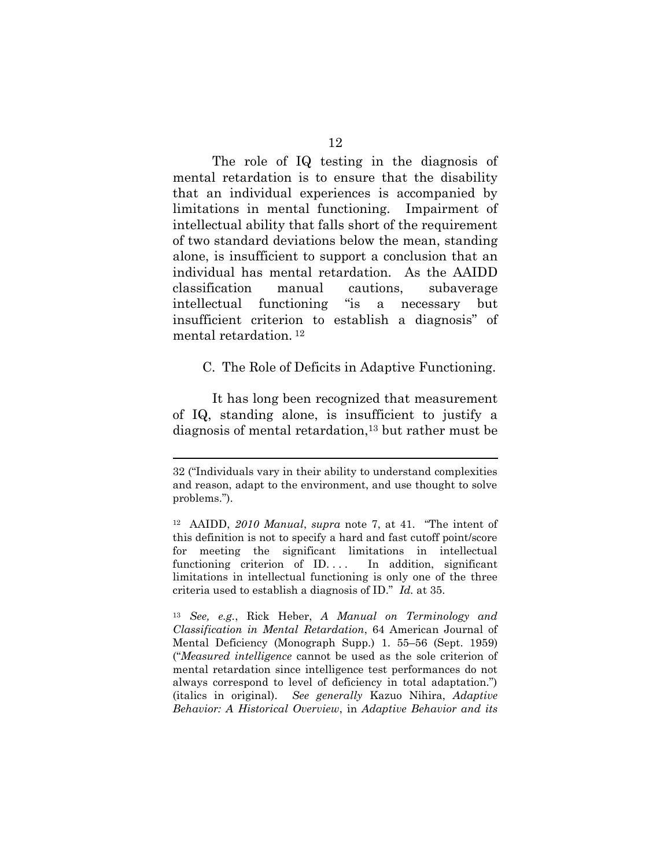The role of IQ testing in the diagnosis of mental retardation is to ensure that the disability that an individual experiences is accompanied by limitations in mental functioning. Impairment of intellectual ability that falls short of the requirement of two standard deviations below the mean, standing alone, is insufficient to support a conclusion that an individual has mental retardation. As the AAIDD classification manual cautions, subaverage intellectual functioning "is a necessary but insufficient criterion to establish a diagnosis" of mental retardation. <sup>12</sup>

C. The Role of Deficits in Adaptive Functioning.

It has long been recognized that measurement of IQ, standing alone, is insufficient to justify a diagnosis of mental retardation,<sup>13</sup> but rather must be

 $\overline{a}$ 

<sup>13</sup> *See, e.g.*, Rick Heber, *A Manual on Terminology and Classification in Mental Retardation*, 64 American Journal of Mental Deficiency (Monograph Supp.) 1. 55–56 (Sept. 1959) ("*Measured intelligence* cannot be used as the sole criterion of mental retardation since intelligence test performances do not always correspond to level of deficiency in total adaptation.") (italics in original). *See generally* Kazuo Nihira, *Adaptive Behavior: A Historical Overview*, in *Adaptive Behavior and its* 

<sup>32 (&</sup>quot;Individuals vary in their ability to understand complexities and reason, adapt to the environment, and use thought to solve problems.").

<sup>12</sup> AAIDD, *2010 Manual*, *supra* note 7, at 41. "The intent of this definition is not to specify a hard and fast cutoff point/score for meeting the significant limitations in intellectual functioning criterion of ID.... In addition, significant limitations in intellectual functioning is only one of the three criteria used to establish a diagnosis of ID." *Id.* at 35.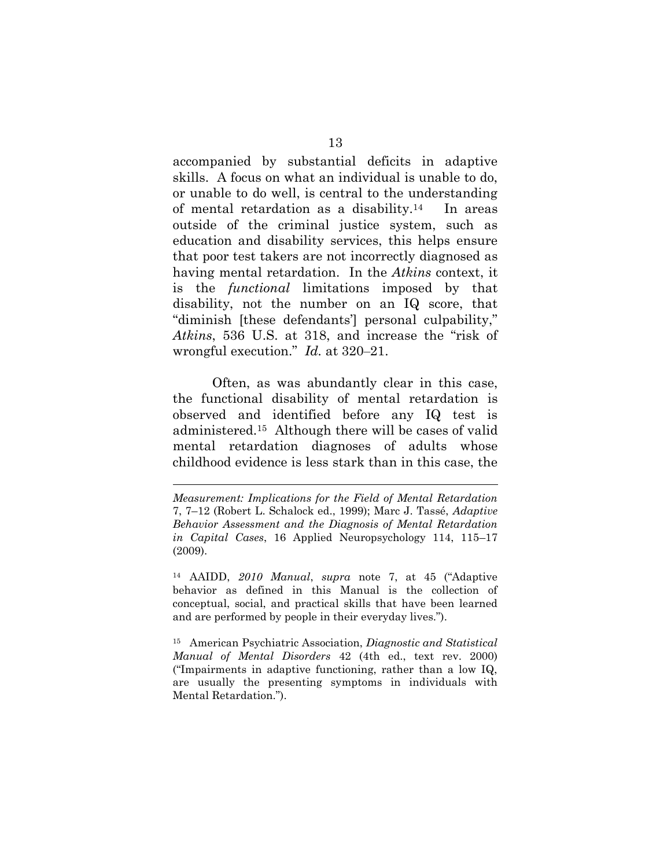accompanied by substantial deficits in adaptive skills. A focus on what an individual is unable to do, or unable to do well, is central to the understanding of mental retardation as a disability.14 In areas outside of the criminal justice system, such as education and disability services, this helps ensure that poor test takers are not incorrectly diagnosed as having mental retardation. In the *Atkins* context, it is the *functional* limitations imposed by that disability, not the number on an IQ score, that "diminish [these defendants'] personal culpability," *Atkins*, 536 U.S. at 318, and increase the "risk of wrongful execution." *Id.* at 320–21.

Often, as was abundantly clear in this case, the functional disability of mental retardation is observed and identified before any IQ test is administered.15 Although there will be cases of valid mental retardation diagnoses of adults whose childhood evidence is less stark than in this case, the

 $\overline{a}$ 

<sup>14</sup> AAIDD, *2010 Manual*, *supra* note 7, at 45 ("Adaptive behavior as defined in this Manual is the collection of conceptual, social, and practical skills that have been learned and are performed by people in their everyday lives.").

<sup>15</sup> American Psychiatric Association, *Diagnostic and Statistical Manual of Mental Disorders* 42 (4th ed., text rev. 2000) ("Impairments in adaptive functioning, rather than a low IQ, are usually the presenting symptoms in individuals with Mental Retardation.").

*Measurement: Implications for the Field of Mental Retardation* 7, 7–12 (Robert L. Schalock ed., 1999); Marc J. Tassé, *Adaptive Behavior Assessment and the Diagnosis of Mental Retardation in Capital Cases*, 16 Applied Neuropsychology 114, 115–17 (2009).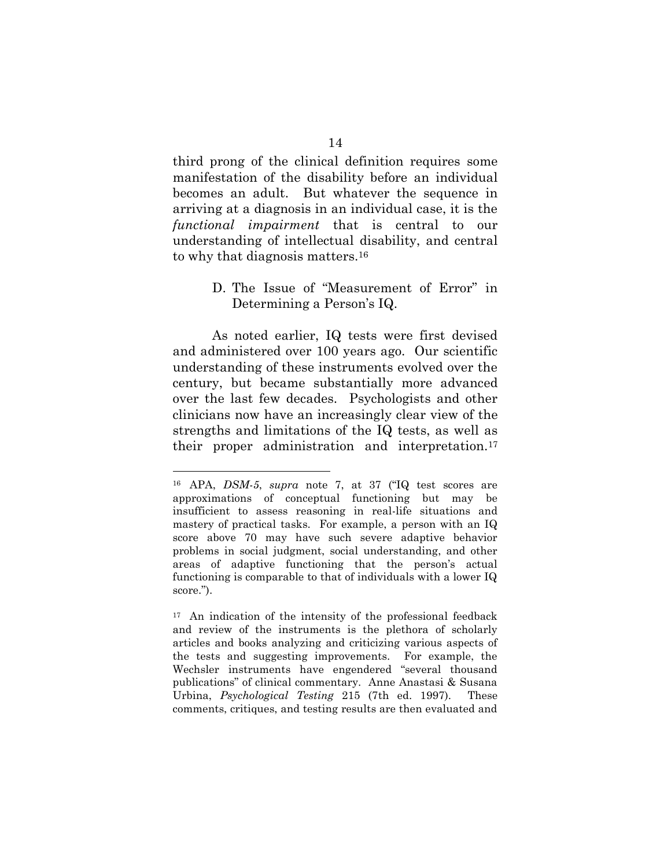third prong of the clinical definition requires some manifestation of the disability before an individual becomes an adult. But whatever the sequence in arriving at a diagnosis in an individual case, it is the *functional impairment* that is central to our understanding of intellectual disability, and central to why that diagnosis matters.<sup>16</sup>

#### D. The Issue of "Measurement of Error" in Determining a Person's IQ.

As noted earlier, IQ tests were first devised and administered over 100 years ago. Our scientific understanding of these instruments evolved over the century, but became substantially more advanced over the last few decades. Psychologists and other clinicians now have an increasingly clear view of the strengths and limitations of the IQ tests, as well as their proper administration and interpretation.<sup>17</sup>

<sup>16</sup> APA, *DSM-5*, *supra* note 7, at 37 ("IQ test scores are approximations of conceptual functioning but may be insufficient to assess reasoning in real-life situations and mastery of practical tasks. For example, a person with an IQ score above 70 may have such severe adaptive behavior problems in social judgment, social understanding, and other areas of adaptive functioning that the person's actual functioning is comparable to that of individuals with a lower IQ score.").

<sup>17</sup> An indication of the intensity of the professional feedback and review of the instruments is the plethora of scholarly articles and books analyzing and criticizing various aspects of the tests and suggesting improvements. For example, the Wechsler instruments have engendered "several thousand publications" of clinical commentary. Anne Anastasi & Susana Urbina, *Psychological Testing* 215 (7th ed. 1997). These comments, critiques, and testing results are then evaluated and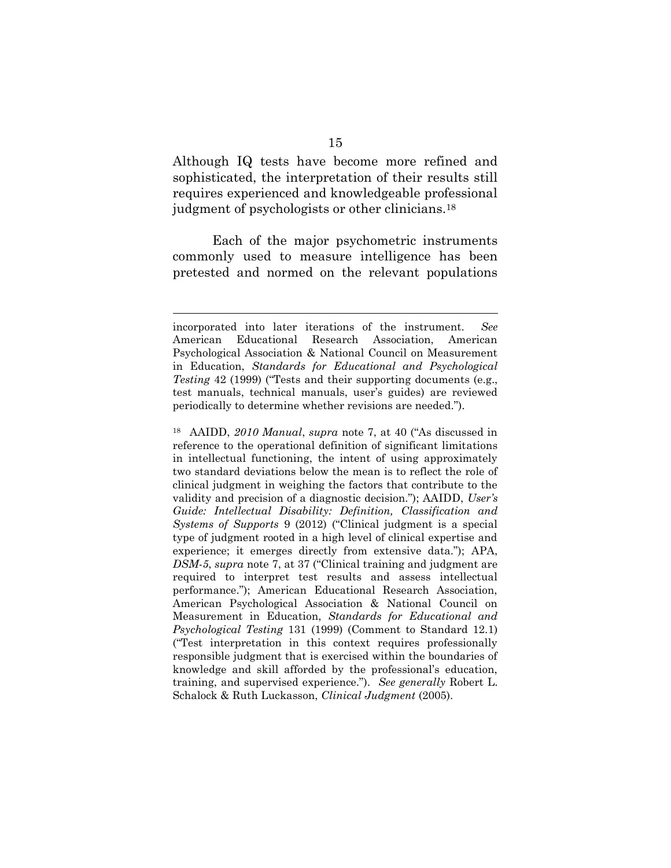Although IQ tests have become more refined and sophisticated, the interpretation of their results still requires experienced and knowledgeable professional judgment of psychologists or other clinicians. 18

Each of the major psychometric instruments commonly used to measure intelligence has been pretested and normed on the relevant populations

 $\overline{a}$ 

<sup>18</sup> AAIDD, *2010 Manual*, *supra* note 7, at 40 ("As discussed in reference to the operational definition of significant limitations in intellectual functioning, the intent of using approximately two standard deviations below the mean is to reflect the role of clinical judgment in weighing the factors that contribute to the validity and precision of a diagnostic decision."); AAIDD, *User's Guide: Intellectual Disability: Definition, Classification and Systems of Supports* 9 (2012) ("Clinical judgment is a special type of judgment rooted in a high level of clinical expertise and experience; it emerges directly from extensive data."); APA, *DSM-5*, *supra* note 7, at 37 ("Clinical training and judgment are required to interpret test results and assess intellectual performance."); American Educational Research Association, American Psychological Association & National Council on Measurement in Education, *Standards for Educational and Psychological Testing* 131 (1999) (Comment to Standard 12.1) ("Test interpretation in this context requires professionally responsible judgment that is exercised within the boundaries of knowledge and skill afforded by the professional's education, training, and supervised experience."). *See generally* Robert L. Schalock & Ruth Luckasson, *Clinical Judgment* (2005).

incorporated into later iterations of the instrument. *See* American Educational Research Association, American Psychological Association & National Council on Measurement in Education, *Standards for Educational and Psychological Testing* 42 (1999) ("Tests and their supporting documents (e.g., test manuals, technical manuals, user's guides) are reviewed periodically to determine whether revisions are needed.").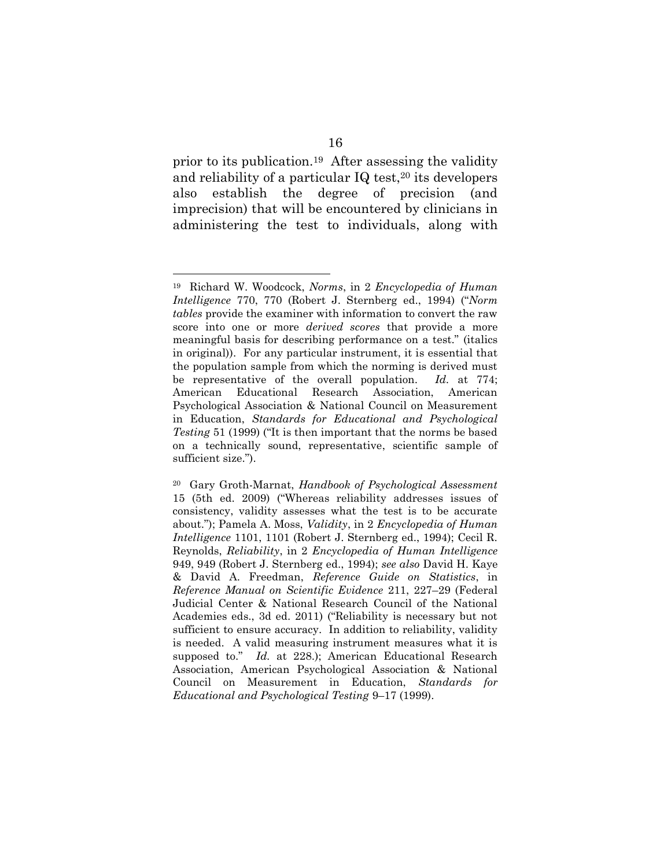prior to its publication.19 After assessing the validity and reliability of a particular  $IQ$  test,<sup>20</sup> its developers also establish the degree of precision (and imprecision) that will be encountered by clinicians in administering the test to individuals, along with

<sup>19</sup> Richard W. Woodcock, *Norms*, in 2 *Encyclopedia of Human Intelligence* 770, 770 (Robert J. Sternberg ed., 1994) ("*Norm tables* provide the examiner with information to convert the raw score into one or more *derived scores* that provide a more meaningful basis for describing performance on a test." (italics in original)). For any particular instrument, it is essential that the population sample from which the norming is derived must be representative of the overall population. *Id.* at 774; American Educational Research Association, American Psychological Association & National Council on Measurement in Education, *Standards for Educational and Psychological Testing* 51 (1999) ("It is then important that the norms be based on a technically sound, representative, scientific sample of sufficient size.").

<sup>20</sup> Gary Groth-Marnat, *Handbook of Psychological Assessment* 15 (5th ed. 2009) ("Whereas reliability addresses issues of consistency, validity assesses what the test is to be accurate about."); Pamela A. Moss, *Validity*, in 2 *Encyclopedia of Human Intelligence* 1101, 1101 (Robert J. Sternberg ed., 1994); Cecil R. Reynolds, *Reliability*, in 2 *Encyclopedia of Human Intelligence* 949, 949 (Robert J. Sternberg ed., 1994); *see also* David H. Kaye & David A. Freedman, *Reference Guide on Statistics*, in *Reference Manual on Scientific Evidence* 211, 227–29 (Federal Judicial Center & National Research Council of the National Academies eds., 3d ed. 2011) ("Reliability is necessary but not sufficient to ensure accuracy. In addition to reliability, validity is needed. A valid measuring instrument measures what it is supposed to." *Id.* at 228.); American Educational Research Association, American Psychological Association & National Council on Measurement in Education, *Standards for Educational and Psychological Testing* 9–17 (1999).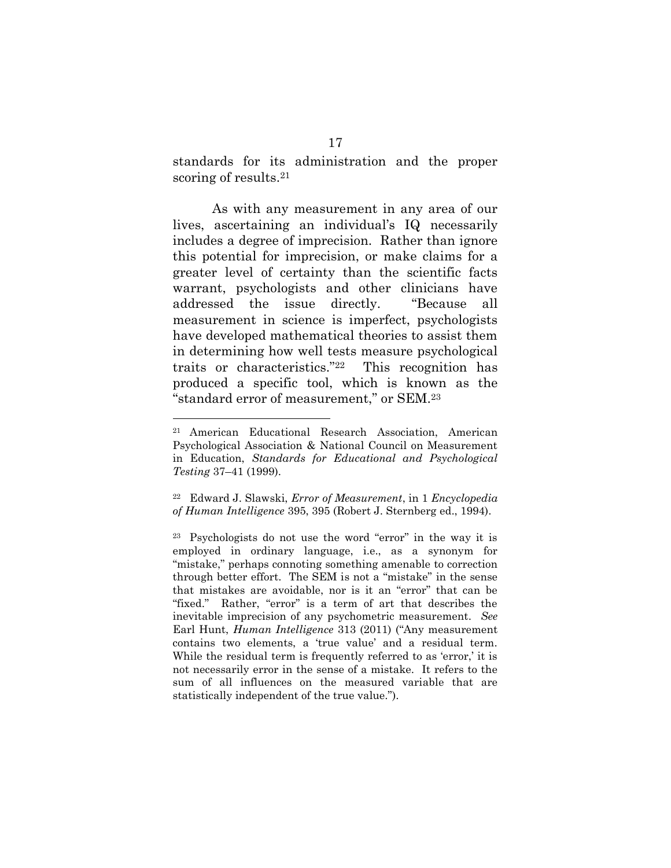standards for its administration and the proper scoring of results. 21

As with any measurement in any area of our lives, ascertaining an individual's IQ necessarily includes a degree of imprecision. Rather than ignore this potential for imprecision, or make claims for a greater level of certainty than the scientific facts warrant, psychologists and other clinicians have addressed the issue directly. "Because all measurement in science is imperfect, psychologists have developed mathematical theories to assist them in determining how well tests measure psychological traits or characteristics."22 This recognition has produced a specific tool, which is known as the "standard error of measurement," or SEM.<sup>23</sup>

<sup>21</sup> American Educational Research Association, American Psychological Association & National Council on Measurement in Education, *Standards for Educational and Psychological Testing* 37–41 (1999).

<sup>22</sup> Edward J. Slawski, *Error of Measurement*, in 1 *Encyclopedia of Human Intelligence* 395, 395 (Robert J. Sternberg ed., 1994).

<sup>23</sup> Psychologists do not use the word "error" in the way it is employed in ordinary language, i.e., as a synonym for "mistake," perhaps connoting something amenable to correction through better effort. The SEM is not a "mistake" in the sense that mistakes are avoidable, nor is it an "error" that can be "fixed." Rather, "error" is a term of art that describes the inevitable imprecision of any psychometric measurement. *See* Earl Hunt, *Human Intelligence* 313 (2011) ("Any measurement contains two elements, a 'true value' and a residual term. While the residual term is frequently referred to as 'error,' it is not necessarily error in the sense of a mistake. It refers to the sum of all influences on the measured variable that are statistically independent of the true value.").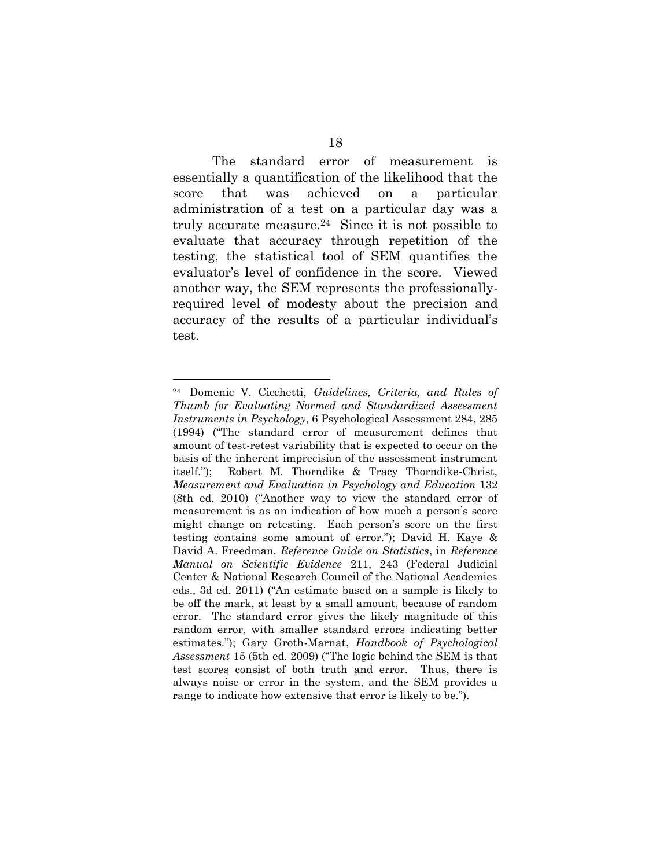The standard error of measurement is essentially a quantification of the likelihood that the score that was achieved on a particular administration of a test on a particular day was a truly accurate measure. <sup>24</sup> Since it is not possible to evaluate that accuracy through repetition of the testing, the statistical tool of SEM quantifies the evaluator's level of confidence in the score. Viewed another way, the SEM represents the professionallyrequired level of modesty about the precision and accuracy of the results of a particular individual's test.

<sup>24</sup> Domenic V. Cicchetti, *Guidelines, Criteria, and Rules of Thumb for Evaluating Normed and Standardized Assessment Instruments in Psychology*, 6 Psychological Assessment 284, 285 (1994) ("The standard error of measurement defines that amount of test-retest variability that is expected to occur on the basis of the inherent imprecision of the assessment instrument itself."); Robert M. Thorndike & Tracy Thorndike-Christ, *Measurement and Evaluation in Psychology and Education* 132 (8th ed. 2010) ("Another way to view the standard error of measurement is as an indication of how much a person's score might change on retesting. Each person's score on the first testing contains some amount of error."); David H. Kaye & David A. Freedman, *Reference Guide on Statistics*, in *Reference Manual on Scientific Evidence* 211, 243 (Federal Judicial Center & National Research Council of the National Academies eds., 3d ed. 2011) ("An estimate based on a sample is likely to be off the mark, at least by a small amount, because of random error. The standard error gives the likely magnitude of this random error, with smaller standard errors indicating better estimates."); Gary Groth-Marnat, *Handbook of Psychological Assessment* 15 (5th ed. 2009) ("The logic behind the SEM is that test scores consist of both truth and error. Thus, there is always noise or error in the system, and the SEM provides a range to indicate how extensive that error is likely to be.").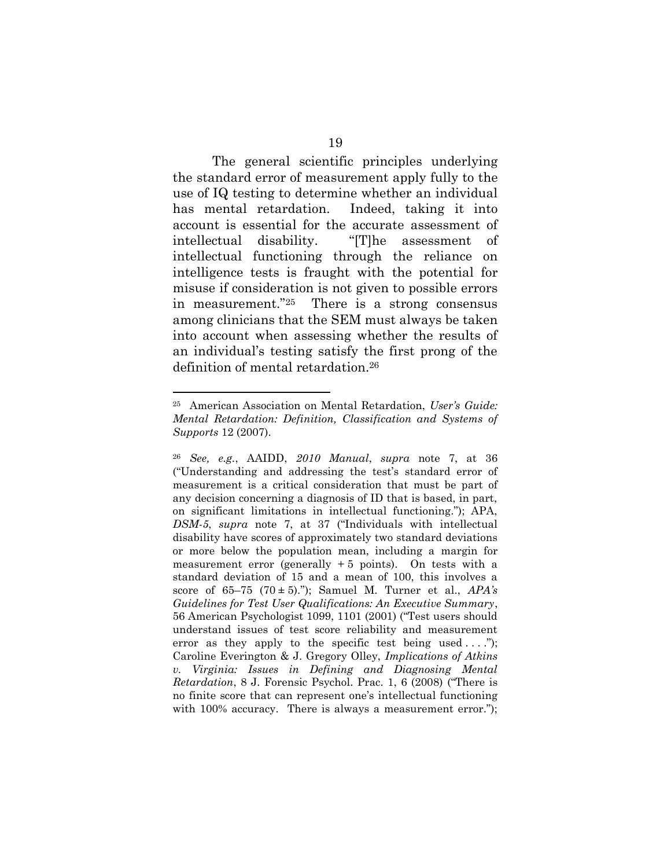The general scientific principles underlying the standard error of measurement apply fully to the use of IQ testing to determine whether an individual has mental retardation. Indeed, taking it into account is essential for the accurate assessment of intellectual disability. "[T]he assessment of intellectual functioning through the reliance on intelligence tests is fraught with the potential for misuse if consideration is not given to possible errors in measurement."25 There is a strong consensus among clinicians that the SEM must always be taken into account when assessing whether the results of an individual's testing satisfy the first prong of the definition of mental retardation.<sup>26</sup>

<sup>25</sup> American Association on Mental Retardation, *User's Guide: Mental Retardation: Definition, Classification and Systems of Supports* 12 (2007).

<sup>26</sup> *See, e.g.*, AAIDD, *2010 Manual*, *supra* note 7, at 36 ("Understanding and addressing the test's standard error of measurement is a critical consideration that must be part of any decision concerning a diagnosis of ID that is based, in part, on significant limitations in intellectual functioning."); APA, *DSM-5*, *supra* note 7, at 37 ("Individuals with intellectual disability have scores of approximately two standard deviations or more below the population mean, including a margin for measurement error (generally  $+5$  points). On tests with a standard deviation of 15 and a mean of 100, this involves a score of 65–75 (70 **±** 5)."); Samuel M. Turner et al., *APA's Guidelines for Test User Qualifications: An Executive Summary*, 56 American Psychologist 1099, 1101 (2001) ("Test users should understand issues of test score reliability and measurement error as they apply to the specific test being used  $\dots$ "); Caroline Everington & J. Gregory Olley, *Implications of Atkins v. Virginia: Issues in Defining and Diagnosing Mental Retardation*, 8 J. Forensic Psychol. Prac. 1, 6 (2008) ("There is no finite score that can represent one's intellectual functioning with 100% accuracy. There is always a measurement error.");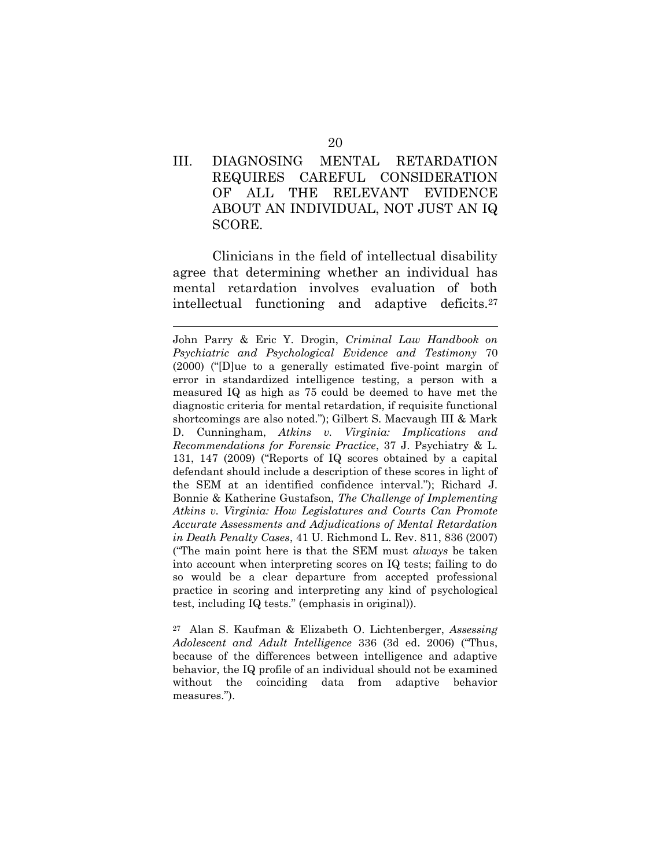### III. DIAGNOSING MENTAL RETARDATION REQUIRES CAREFUL CONSIDERATION OF ALL THE RELEVANT EVIDENCE ABOUT AN INDIVIDUAL, NOT JUST AN IQ SCORE.

Clinicians in the field of intellectual disability agree that determining whether an individual has mental retardation involves evaluation of both intellectual functioning and adaptive deficits.<sup>27</sup>

John Parry & Eric Y. Drogin, *Criminal Law Handbook on Psychiatric and Psychological Evidence and Testimony* 70 (2000) ("[D]ue to a generally estimated five-point margin of error in standardized intelligence testing, a person with a measured IQ as high as 75 could be deemed to have met the diagnostic criteria for mental retardation, if requisite functional shortcomings are also noted."); Gilbert S. Macvaugh III & Mark D. Cunningham, *Atkins v. Virginia: Implications and Recommendations for Forensic Practice*, 37 J. Psychiatry & L. 131, 147 (2009) ("Reports of IQ scores obtained by a capital defendant should include a description of these scores in light of the SEM at an identified confidence interval."); Richard J. Bonnie & Katherine Gustafson, *The Challenge of Implementing Atkins v. Virginia: How Legislatures and Courts Can Promote Accurate Assessments and Adjudications of Mental Retardation in Death Penalty Cases*, 41 U. Richmond L. Rev. 811, 836 (2007) ("The main point here is that the SEM must *always* be taken into account when interpreting scores on IQ tests; failing to do so would be a clear departure from accepted professional practice in scoring and interpreting any kind of psychological test, including IQ tests." (emphasis in original)).

<sup>27</sup> Alan S. Kaufman & Elizabeth O. Lichtenberger, *Assessing Adolescent and Adult Intelligence* 336 (3d ed. 2006) ("Thus, because of the differences between intelligence and adaptive behavior, the IQ profile of an individual should not be examined without the coinciding data from adaptive behavior measures.").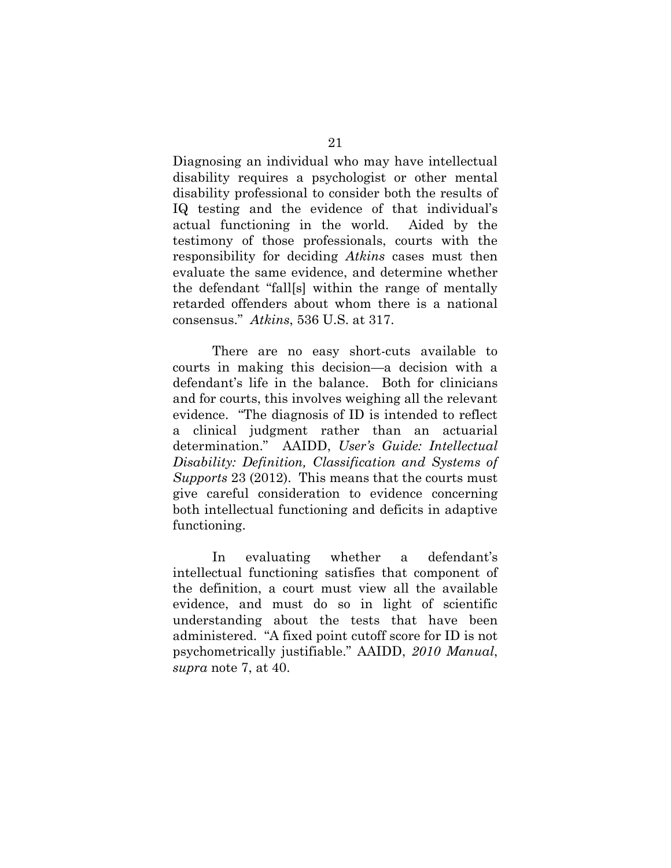Diagnosing an individual who may have intellectual disability requires a psychologist or other mental disability professional to consider both the results of IQ testing and the evidence of that individual's actual functioning in the world. Aided by the testimony of those professionals, courts with the responsibility for deciding *Atkins* cases must then evaluate the same evidence, and determine whether the defendant "fall[s] within the range of mentally retarded offenders about whom there is a national consensus." *Atkins*, 536 U.S. at 317.

There are no easy short-cuts available to courts in making this decision—a decision with a defendant's life in the balance. Both for clinicians and for courts, this involves weighing all the relevant evidence. "The diagnosis of ID is intended to reflect a clinical judgment rather than an actuarial determination." AAIDD, *User's Guide: Intellectual Disability: Definition, Classification and Systems of Supports* 23 (2012). This means that the courts must give careful consideration to evidence concerning both intellectual functioning and deficits in adaptive functioning.

In evaluating whether a defendant's intellectual functioning satisfies that component of the definition, a court must view all the available evidence, and must do so in light of scientific understanding about the tests that have been administered. "A fixed point cutoff score for ID is not psychometrically justifiable." AAIDD, *2010 Manual*, *supra* note 7, at 40.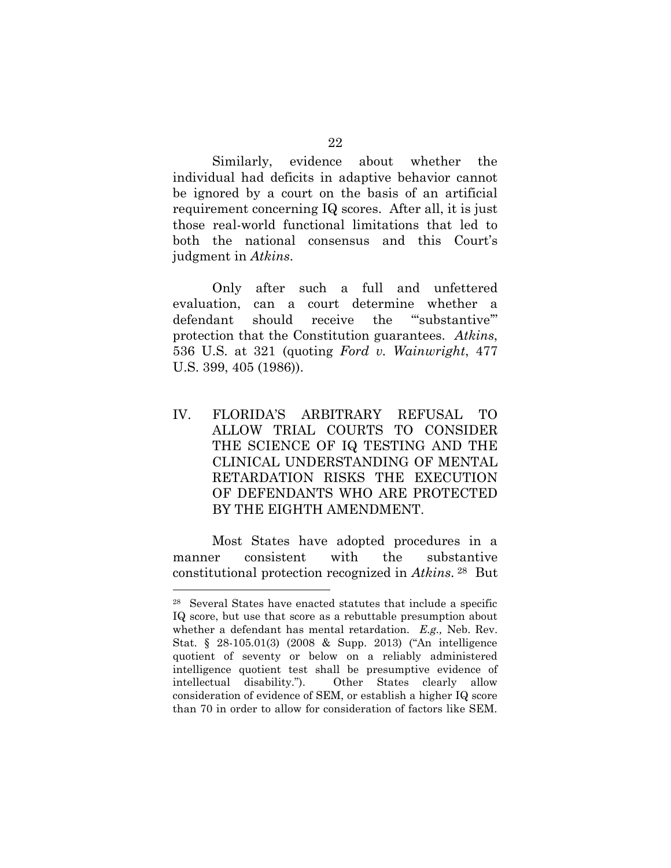Similarly, evidence about whether the individual had deficits in adaptive behavior cannot be ignored by a court on the basis of an artificial requirement concerning IQ scores. After all, it is just those real-world functional limitations that led to both the national consensus and this Court's judgment in *Atkins*.

Only after such a full and unfettered evaluation, can a court determine whether a defendant should receive the "substantive" protection that the Constitution guarantees. *Atkins*, 536 U.S. at 321 (quoting *Ford v. Wainwright*, 477 U.S. 399, 405 (1986)).

IV. FLORIDA'S ARBITRARY REFUSAL TO ALLOW TRIAL COURTS TO CONSIDER THE SCIENCE OF IQ TESTING AND THE CLINICAL UNDERSTANDING OF MENTAL RETARDATION RISKS THE EXECUTION OF DEFENDANTS WHO ARE PROTECTED BY THE EIGHTH AMENDMENT.

Most States have adopted procedures in a manner consistent with the substantive constitutional protection recognized in *Atkins*. <sup>28</sup> But

<sup>28</sup> Several States have enacted statutes that include a specific IQ score, but use that score as a rebuttable presumption about whether a defendant has mental retardation. *E.g.,* Neb. Rev. Stat. § 28-105.01(3) (2008 & Supp. 2013) ("An intelligence quotient of seventy or below on a reliably administered intelligence quotient test shall be presumptive evidence of intellectual disability."). Other States clearly allow consideration of evidence of SEM, or establish a higher IQ score than 70 in order to allow for consideration of factors like SEM.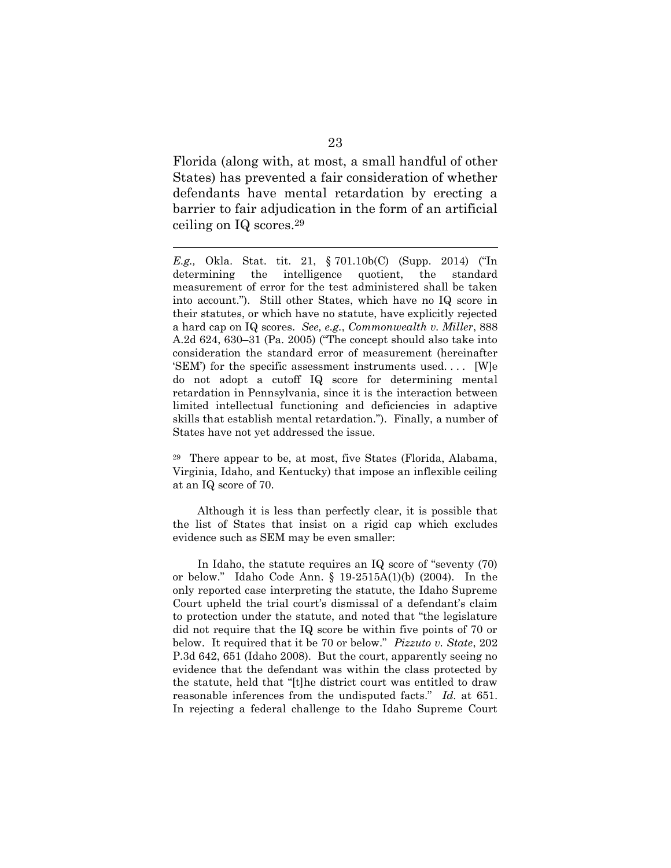Florida (along with, at most, a small handful of other States) has prevented a fair consideration of whether defendants have mental retardation by erecting a barrier to fair adjudication in the form of an artificial ceiling on IQ scores. 29

 $\overline{a}$ 

*E.g.,* Okla. Stat. tit. 21, § 701.10b(C) (Supp. 2014) ("In determining the intelligence quotient, the standard measurement of error for the test administered shall be taken into account."). Still other States, which have no IQ score in their statutes, or which have no statute, have explicitly rejected a hard cap on IQ scores. *See, e.g.*, *Commonwealth v. Miller*, 888 A.2d 624, 630–31 (Pa. 2005) ("The concept should also take into consideration the standard error of measurement (hereinafter 'SEM') for the specific assessment instruments used. . . . [W]e do not adopt a cutoff IQ score for determining mental retardation in Pennsylvania, since it is the interaction between limited intellectual functioning and deficiencies in adaptive skills that establish mental retardation."). Finally, a number of States have not yet addressed the issue.

 $29$  There appear to be, at most, five States (Florida, Alabama, Virginia, Idaho, and Kentucky) that impose an inflexible ceiling at an IQ score of 70.

Although it is less than perfectly clear, it is possible that the list of States that insist on a rigid cap which excludes evidence such as SEM may be even smaller:

In Idaho, the statute requires an IQ score of "seventy (70) or below." Idaho Code Ann. § 19-2515A(1)(b) (2004). In the only reported case interpreting the statute, the Idaho Supreme Court upheld the trial court's dismissal of a defendant's claim to protection under the statute, and noted that "the legislature did not require that the IQ score be within five points of 70 or below. It required that it be 70 or below." *Pizzuto v. State*, 202 P.3d 642, 651 (Idaho 2008). But the court, apparently seeing no evidence that the defendant was within the class protected by the statute, held that "[t]he district court was entitled to draw reasonable inferences from the undisputed facts." *Id.* at 651. In rejecting a federal challenge to the Idaho Supreme Court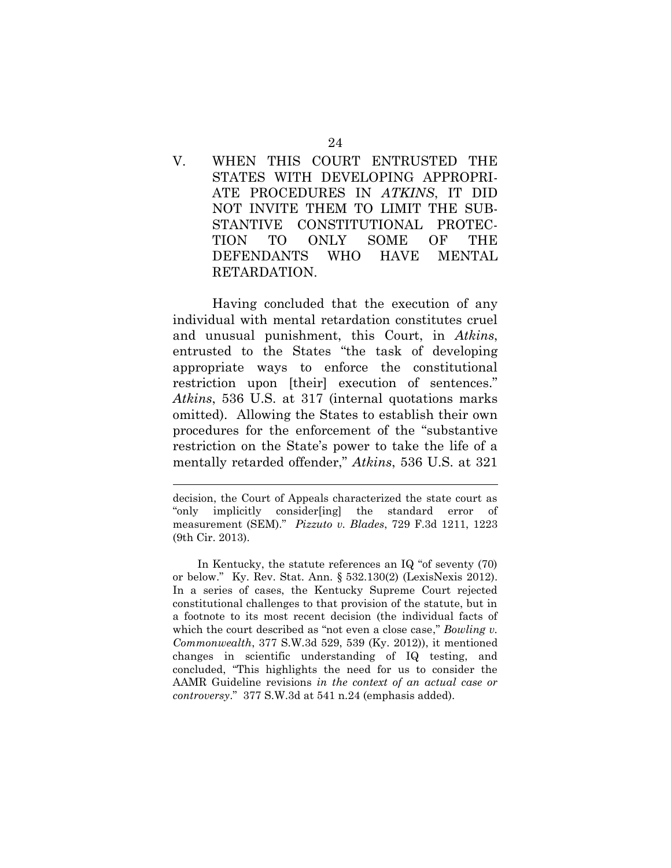V. WHEN THIS COURT ENTRUSTED THE STATES WITH DEVELOPING APPROPRI-ATE PROCEDURES IN *ATKINS*, IT DID NOT INVITE THEM TO LIMIT THE SUB-STANTIVE CONSTITUTIONAL PROTEC-TION TO ONLY SOME OF THE DEFENDANTS WHO HAVE MENTAL RETARDATION.

Having concluded that the execution of any individual with mental retardation constitutes cruel and unusual punishment, this Court, in *Atkins*, entrusted to the States "the task of developing appropriate ways to enforce the constitutional restriction upon [their] execution of sentences." *Atkins*, 536 U.S. at 317 (internal quotations marks omitted). Allowing the States to establish their own procedures for the enforcement of the "substantive restriction on the State's power to take the life of a mentally retarded offender," *Atkins*, 536 U.S. at 321

decision, the Court of Appeals characterized the state court as "only implicitly consider[ing] the standard error of measurement (SEM)." *Pizzuto v. Blades*, 729 F.3d 1211, 1223 (9th Cir. 2013).

In Kentucky, the statute references an IQ "of seventy (70) or below." Ky. Rev. Stat. Ann. § 532.130(2) (LexisNexis 2012). In a series of cases, the Kentucky Supreme Court rejected constitutional challenges to that provision of the statute, but in a footnote to its most recent decision (the individual facts of which the court described as "not even a close case," *Bowling v. Commonwealth*, 377 S.W.3d 529, 539 (Ky. 2012)), it mentioned changes in scientific understanding of IQ testing, and concluded, "This highlights the need for us to consider the AAMR Guideline revisions *in the context of an actual case or controversy*." 377 S.W.3d at 541 n.24 (emphasis added).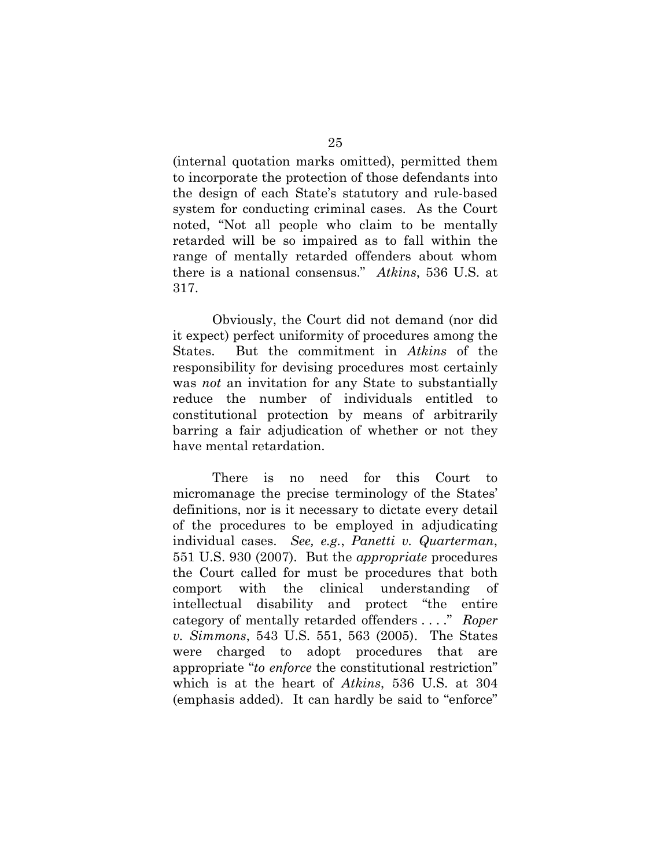(internal quotation marks omitted), permitted them to incorporate the protection of those defendants into the design of each State's statutory and rule-based system for conducting criminal cases. As the Court noted, "Not all people who claim to be mentally retarded will be so impaired as to fall within the range of mentally retarded offenders about whom there is a national consensus." *Atkins*, 536 U.S. at 317.

Obviously, the Court did not demand (nor did it expect) perfect uniformity of procedures among the States. But the commitment in *Atkins* of the responsibility for devising procedures most certainly was *not* an invitation for any State to substantially reduce the number of individuals entitled to constitutional protection by means of arbitrarily barring a fair adjudication of whether or not they have mental retardation.

There is no need for this Court to micromanage the precise terminology of the States' definitions, nor is it necessary to dictate every detail of the procedures to be employed in adjudicating individual cases. *See, e.g.*, *Panetti v. Quarterman*, 551 U.S. 930 (2007). But the *appropriate* procedures the Court called for must be procedures that both comport with the clinical understanding of intellectual disability and protect "the entire category of mentally retarded offenders . . . ." *Roper v. Simmons*, 543 U.S. 551, 563 (2005). The States were charged to adopt procedures that are appropriate "*to enforce* the constitutional restriction" which is at the heart of *Atkins*, 536 U.S. at 304 (emphasis added). It can hardly be said to "enforce"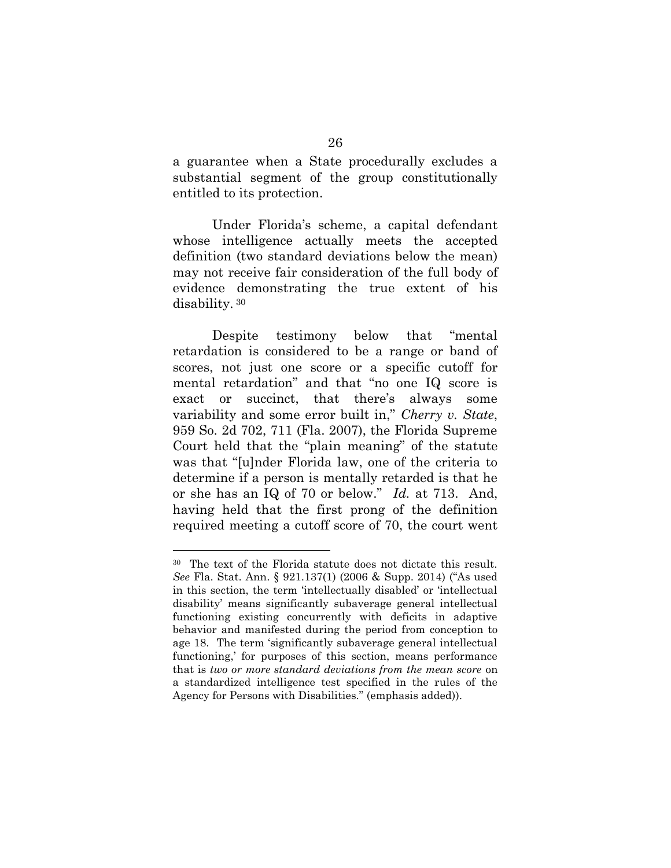a guarantee when a State procedurally excludes a substantial segment of the group constitutionally entitled to its protection.

Under Florida's scheme, a capital defendant whose intelligence actually meets the accepted definition (two standard deviations below the mean) may not receive fair consideration of the full body of evidence demonstrating the true extent of his disability. 30

Despite testimony below that "mental retardation is considered to be a range or band of scores, not just one score or a specific cutoff for mental retardation" and that "no one IQ score is exact or succinct, that there's always some variability and some error built in," *Cherry v. State*, 959 So. 2d 702, 711 (Fla. 2007), the Florida Supreme Court held that the "plain meaning" of the statute was that "[u]nder Florida law, one of the criteria to determine if a person is mentally retarded is that he or she has an IQ of 70 or below." *Id.* at 713. And, having held that the first prong of the definition required meeting a cutoff score of 70, the court went

<sup>30</sup> The text of the Florida statute does not dictate this result. *See* Fla. Stat. Ann. § 921.137(1) (2006 & Supp. 2014) ("As used in this section, the term 'intellectually disabled' or 'intellectual disability' means significantly subaverage general intellectual functioning existing concurrently with deficits in adaptive behavior and manifested during the period from conception to age 18. The term 'significantly subaverage general intellectual functioning,' for purposes of this section, means performance that is *two or more standard deviations from the mean score* on a standardized intelligence test specified in the rules of the Agency for Persons with Disabilities." (emphasis added)).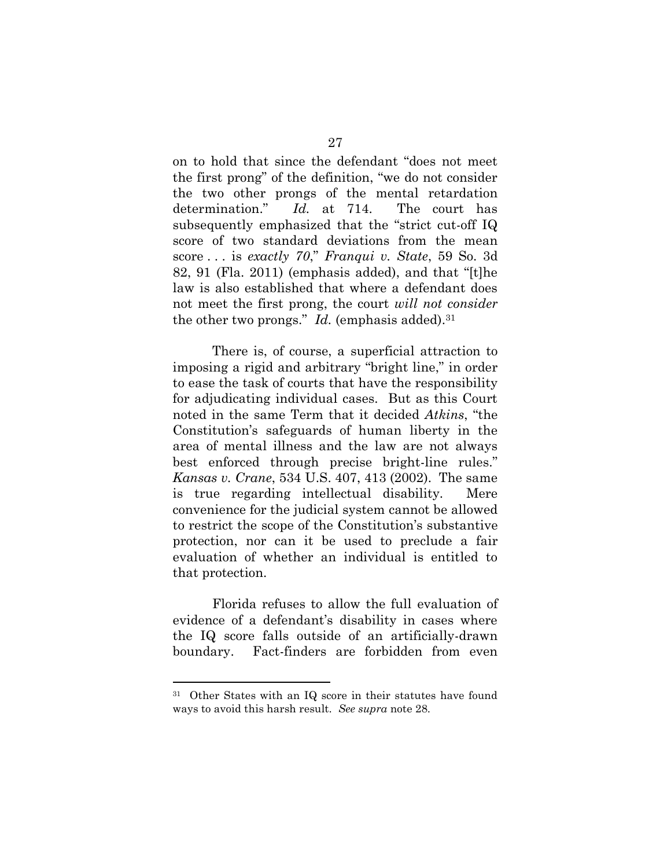on to hold that since the defendant "does not meet the first prong" of the definition, "we do not consider the two other prongs of the mental retardation determination." *Id.* at 714. The court has subsequently emphasized that the "strict cut-off IQ score of two standard deviations from the mean score . . . is *exactly 70*," *Franqui v. State*, 59 So. 3d 82, 91 (Fla. 2011) (emphasis added), and that "[t]he law is also established that where a defendant does not meet the first prong, the court *will not consider* the other two prongs."  $Id$ . (emphasis added).<sup>31</sup>

There is, of course, a superficial attraction to imposing a rigid and arbitrary "bright line," in order to ease the task of courts that have the responsibility for adjudicating individual cases. But as this Court noted in the same Term that it decided *Atkins*, "the Constitution's safeguards of human liberty in the area of mental illness and the law are not always best enforced through precise bright-line rules." *Kansas v. Crane*, 534 U.S. 407, 413 (2002). The same is true regarding intellectual disability. Mere convenience for the judicial system cannot be allowed to restrict the scope of the Constitution's substantive protection, nor can it be used to preclude a fair evaluation of whether an individual is entitled to that protection.

Florida refuses to allow the full evaluation of evidence of a defendant's disability in cases where the IQ score falls outside of an artificially-drawn boundary. Fact-finders are forbidden from even

<sup>31</sup> Other States with an IQ score in their statutes have found ways to avoid this harsh result. *See supra* note 28.